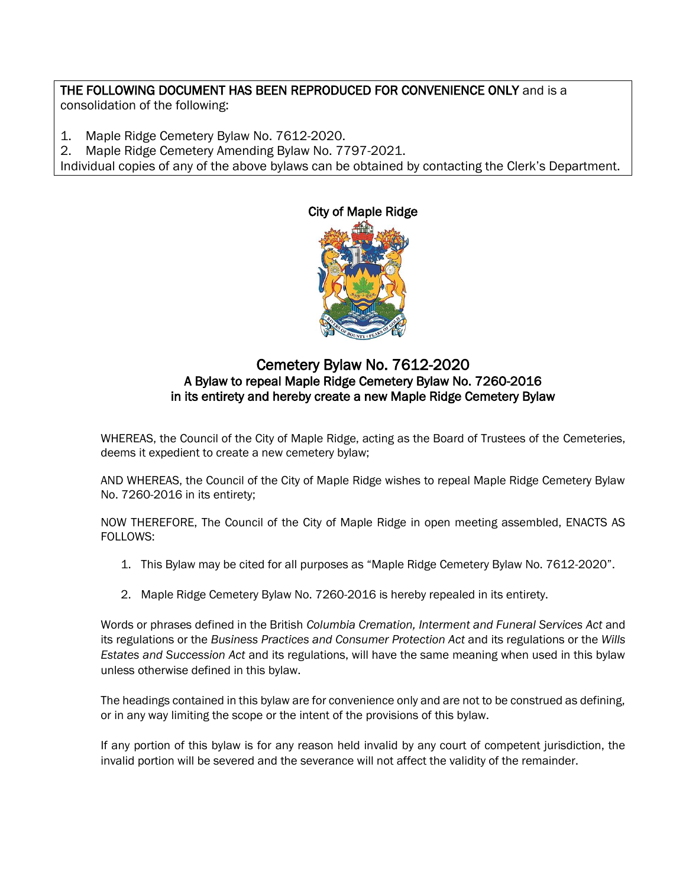## THE FOLLOWING DOCUMENT HAS BEEN REPRODUCED FOR CONVENIENCE ONLY and is a

consolidation of the following:

- 1. Maple Ridge Cemetery Bylaw No. 7612-2020.
- 2. Maple Ridge Cemetery Amending Bylaw No. 7797-2021.

Individual copies of any of the above bylaws can be obtained by contacting the Clerk's Department.



## Cemetery Bylaw No. 7612-2020 A Bylaw to repeal Maple Ridge Cemetery Bylaw No. 7260-2016 in its entirety and hereby create a new Maple Ridge Cemetery Bylaw

WHEREAS, the Council of the City of Maple Ridge, acting as the Board of Trustees of the Cemeteries, deems it expedient to create a new cemetery bylaw;

AND WHEREAS, the Council of the City of Maple Ridge wishes to repeal Maple Ridge Cemetery Bylaw No. 7260-2016 in its entirety;

NOW THEREFORE, The Council of the City of Maple Ridge in open meeting assembled, ENACTS AS FOLLOWS:

- 1. This Bylaw may be cited for all purposes as "Maple Ridge Cemetery Bylaw No. 7612-2020".
- 2. Maple Ridge Cemetery Bylaw No. 7260-2016 is hereby repealed in its entirety.

Words or phrases defined in the British *Columbia Cremation, Interment and Funeral Services Act* and its regulations or the *Business Practices and Consumer Protection Act* and its regulations or the *Wills Estates and Succession Act* and its regulations, will have the same meaning when used in this bylaw unless otherwise defined in this bylaw.

The headings contained in this bylaw are for convenience only and are not to be construed as defining, or in any way limiting the scope or the intent of the provisions of this bylaw.

If any portion of this bylaw is for any reason held invalid by any court of competent jurisdiction, the invalid portion will be severed and the severance will not affect the validity of the remainder.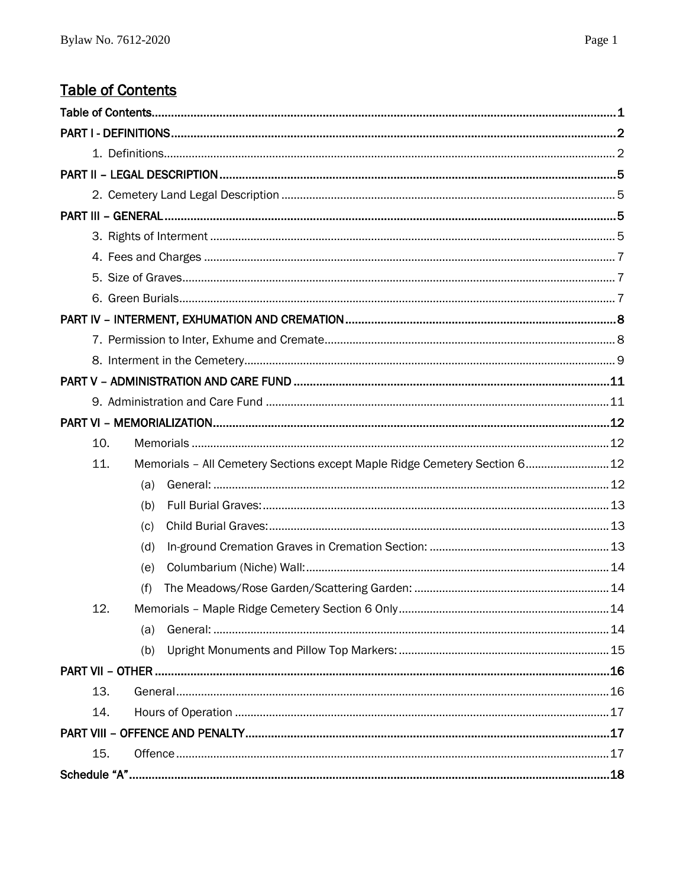# <span id="page-1-0"></span>**Table of Contents**

| 10.                                                                               |  |
|-----------------------------------------------------------------------------------|--|
| Memorials - All Cemetery Sections except Maple Ridge Cemetery Section 6 12<br>11. |  |
| (a)                                                                               |  |
| (b)                                                                               |  |
| (c)                                                                               |  |
| (d)                                                                               |  |
| (e)                                                                               |  |
| (f)                                                                               |  |
|                                                                                   |  |
| (a)                                                                               |  |
| (b)                                                                               |  |
|                                                                                   |  |
| 13.                                                                               |  |
| 14.                                                                               |  |
|                                                                                   |  |
| 15.                                                                               |  |
|                                                                                   |  |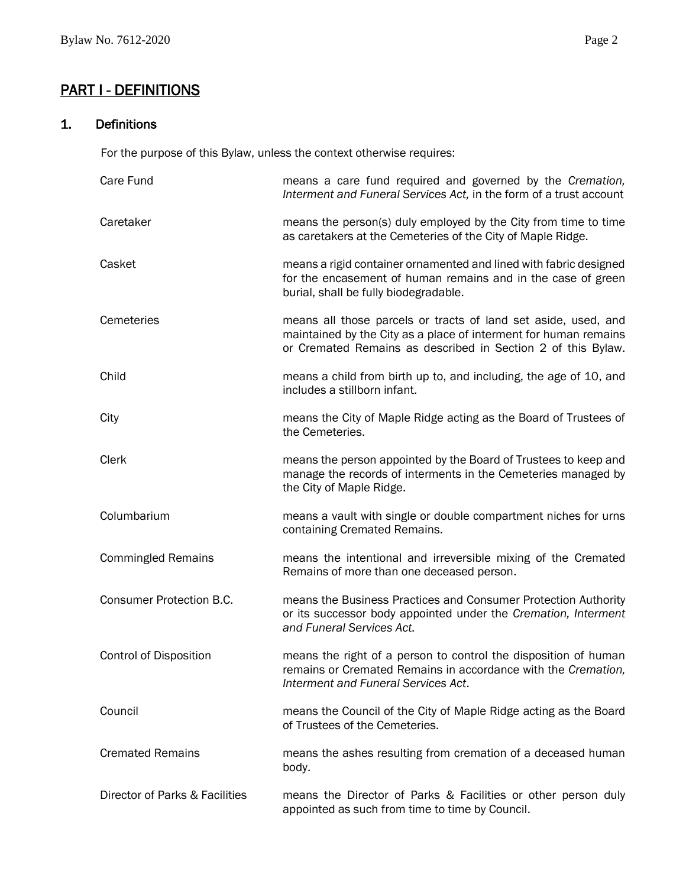# <span id="page-2-0"></span>PART I - DEFINITIONS

### <span id="page-2-1"></span>1. Definitions

For the purpose of this Bylaw, unless the context otherwise requires:

| Care Fund                       | means a care fund required and governed by the Cremation,<br>Interment and Funeral Services Act, in the form of a trust account                                                                    |
|---------------------------------|----------------------------------------------------------------------------------------------------------------------------------------------------------------------------------------------------|
| Caretaker                       | means the person(s) duly employed by the City from time to time<br>as caretakers at the Cemeteries of the City of Maple Ridge.                                                                     |
| Casket                          | means a rigid container ornamented and lined with fabric designed<br>for the encasement of human remains and in the case of green<br>burial, shall be fully biodegradable.                         |
| Cemeteries                      | means all those parcels or tracts of land set aside, used, and<br>maintained by the City as a place of interment for human remains<br>or Cremated Remains as described in Section 2 of this Bylaw. |
| Child                           | means a child from birth up to, and including, the age of 10, and<br>includes a stillborn infant.                                                                                                  |
| City                            | means the City of Maple Ridge acting as the Board of Trustees of<br>the Cemeteries.                                                                                                                |
| <b>Clerk</b>                    | means the person appointed by the Board of Trustees to keep and<br>manage the records of interments in the Cemeteries managed by<br>the City of Maple Ridge.                                       |
| Columbarium                     | means a vault with single or double compartment niches for urns<br>containing Cremated Remains.                                                                                                    |
| <b>Commingled Remains</b>       | means the intentional and irreversible mixing of the Cremated<br>Remains of more than one deceased person.                                                                                         |
| <b>Consumer Protection B.C.</b> | means the Business Practices and Consumer Protection Authority<br>or its successor body appointed under the Cremation, Interment<br>and Funeral Services Act.                                      |
| <b>Control of Disposition</b>   | means the right of a person to control the disposition of human<br>remains or Cremated Remains in accordance with the Cremation,<br>Interment and Funeral Services Act.                            |
| Council                         | means the Council of the City of Maple Ridge acting as the Board<br>of Trustees of the Cemeteries.                                                                                                 |
| <b>Cremated Remains</b>         | means the ashes resulting from cremation of a deceased human<br>body.                                                                                                                              |
| Director of Parks & Facilities  | means the Director of Parks & Facilities or other person duly<br>appointed as such from time to time by Council.                                                                                   |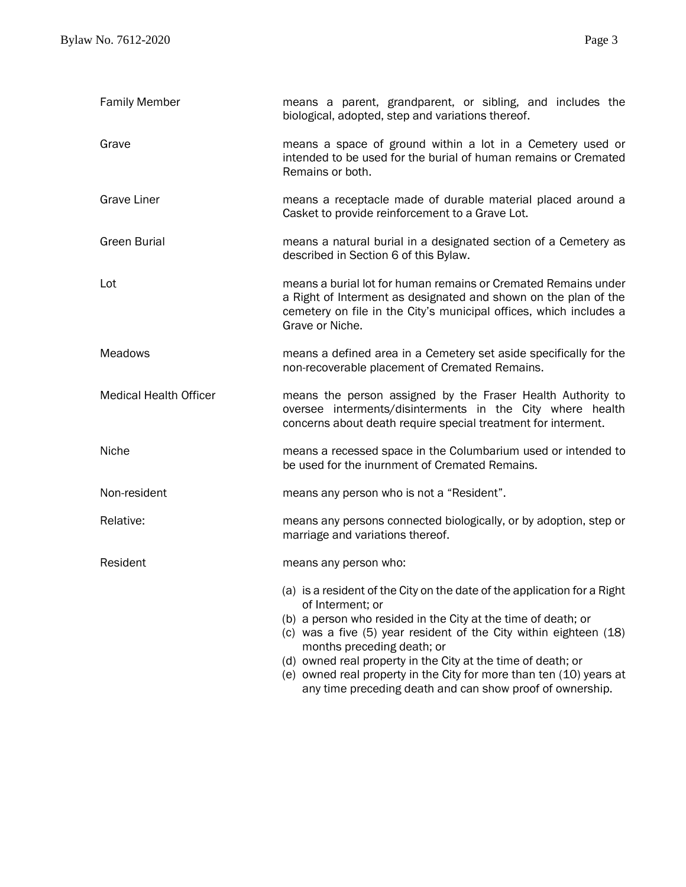| <b>Family Member</b>          | means a parent, grandparent, or sibling, and includes the<br>biological, adopted, step and variations thereof.                                                                                                             |  |  |  |  |  |  |  |
|-------------------------------|----------------------------------------------------------------------------------------------------------------------------------------------------------------------------------------------------------------------------|--|--|--|--|--|--|--|
| Grave                         | means a space of ground within a lot in a Cemetery used or<br>intended to be used for the burial of human remains or Cremated<br>Remains or both.                                                                          |  |  |  |  |  |  |  |
| <b>Grave Liner</b>            | means a receptacle made of durable material placed around a<br>Casket to provide reinforcement to a Grave Lot.                                                                                                             |  |  |  |  |  |  |  |
| <b>Green Burial</b>           | means a natural burial in a designated section of a Cemetery as<br>described in Section 6 of this Bylaw.                                                                                                                   |  |  |  |  |  |  |  |
| Lot                           | means a burial lot for human remains or Cremated Remains under<br>a Right of Interment as designated and shown on the plan of the<br>cemetery on file in the City's municipal offices, which includes a<br>Grave or Niche. |  |  |  |  |  |  |  |
| Meadows                       | means a defined area in a Cemetery set aside specifically for the<br>non-recoverable placement of Cremated Remains.                                                                                                        |  |  |  |  |  |  |  |
| <b>Medical Health Officer</b> | means the person assigned by the Fraser Health Authority to<br>oversee interments/disinterments in the City where health<br>concerns about death require special treatment for interment.                                  |  |  |  |  |  |  |  |
| Niche                         | means a recessed space in the Columbarium used or intended to<br>be used for the inurnment of Cremated Remains.                                                                                                            |  |  |  |  |  |  |  |
| Non-resident                  | means any person who is not a "Resident".                                                                                                                                                                                  |  |  |  |  |  |  |  |
| Relative:                     | means any persons connected biologically, or by adoption, step or<br>marriage and variations thereof.                                                                                                                      |  |  |  |  |  |  |  |
| Resident                      | means any person who:                                                                                                                                                                                                      |  |  |  |  |  |  |  |
|                               | (a) is a resident of the City on the date of the application for a Right<br>of Interment; or                                                                                                                               |  |  |  |  |  |  |  |
|                               | (b) a person who resided in the City at the time of death; or<br>(c) was a five (5) year resident of the City within eighteen (18)<br>months preceding death; or                                                           |  |  |  |  |  |  |  |
|                               | (d) owned real property in the City at the time of death; or<br>(e) owned real property in the City for more than ten (10) years at<br>any time preceding death and can show proof of ownership.                           |  |  |  |  |  |  |  |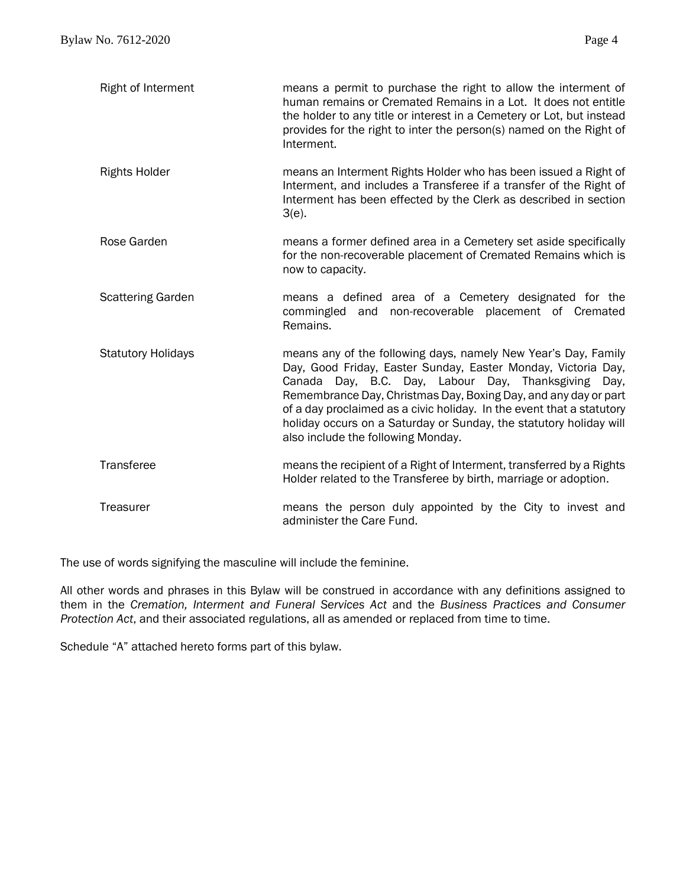| Right of Interment        | means a permit to purchase the right to allow the interment of<br>human remains or Cremated Remains in a Lot. It does not entitle<br>the holder to any title or interest in a Cemetery or Lot, but instead<br>provides for the right to inter the person(s) named on the Right of<br>Interment.                                                                                                                                                |
|---------------------------|------------------------------------------------------------------------------------------------------------------------------------------------------------------------------------------------------------------------------------------------------------------------------------------------------------------------------------------------------------------------------------------------------------------------------------------------|
| <b>Rights Holder</b>      | means an Interment Rights Holder who has been issued a Right of<br>Interment, and includes a Transferee if a transfer of the Right of<br>Interment has been effected by the Clerk as described in section<br>$3(e)$ .                                                                                                                                                                                                                          |
| Rose Garden               | means a former defined area in a Cemetery set aside specifically<br>for the non-recoverable placement of Cremated Remains which is<br>now to capacity.                                                                                                                                                                                                                                                                                         |
| <b>Scattering Garden</b>  | means a defined area of a Cemetery designated for the<br>and non-recoverable placement of Cremated<br>commingled<br>Remains.                                                                                                                                                                                                                                                                                                                   |
| <b>Statutory Holidays</b> | means any of the following days, namely New Year's Day, Family<br>Day, Good Friday, Easter Sunday, Easter Monday, Victoria Day,<br>Canada Day, B.C. Day, Labour Day, Thanksgiving Day,<br>Remembrance Day, Christmas Day, Boxing Day, and any day or part<br>of a day proclaimed as a civic holiday. In the event that a statutory<br>holiday occurs on a Saturday or Sunday, the statutory holiday will<br>also include the following Monday. |
| Transferee                | means the recipient of a Right of Interment, transferred by a Rights<br>Holder related to the Transferee by birth, marriage or adoption.                                                                                                                                                                                                                                                                                                       |
| Treasurer                 | means the person duly appointed by the City to invest and<br>administer the Care Fund.                                                                                                                                                                                                                                                                                                                                                         |

The use of words signifying the masculine will include the feminine.

All other words and phrases in this Bylaw will be construed in accordance with any definitions assigned to them in the *Cremation, Interment and Funeral Services Act* and the *Business Practices and Consumer Protection Act*, and their associated regulations, all as amended or replaced from time to time.

Schedule "A" attached hereto forms part of this bylaw.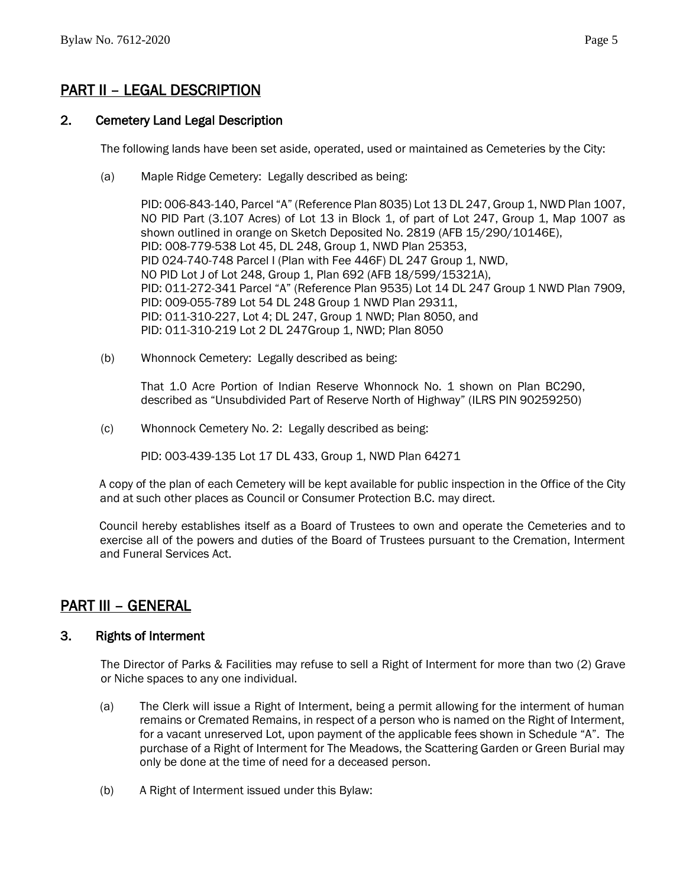# <span id="page-5-0"></span>PART II – LEGAL DESCRIPTION

#### <span id="page-5-1"></span>2. Cemetery Land Legal Description

The following lands have been set aside, operated, used or maintained as Cemeteries by the City:

(a) Maple Ridge Cemetery: Legally described as being:

PID: 006-843-140, Parcel "A" (Reference Plan 8035) Lot 13 DL 247, Group 1, NWD Plan 1007, NO PID Part (3.107 Acres) of Lot 13 in Block 1, of part of Lot 247, Group 1, Map 1007 as shown outlined in orange on Sketch Deposited No. 2819 (AFB 15/290/10146E), PID: 008-779-538 Lot 45, DL 248, Group 1, NWD Plan 25353, PID 024-740-748 Parcel I (Plan with Fee 446F) DL 247 Group 1, NWD, NO PID Lot J of Lot 248, Group 1, Plan 692 (AFB 18/599/15321A), PID: 011-272-341 Parcel "A" (Reference Plan 9535) Lot 14 DL 247 Group 1 NWD Plan 7909, PID: 009-055-789 Lot 54 DL 248 Group 1 NWD Plan 29311, PID: 011-310-227, Lot 4; DL 247, Group 1 NWD; Plan 8050, and PID: 011-310-219 Lot 2 DL 247Group 1, NWD; Plan 8050

(b) Whonnock Cemetery: Legally described as being:

That 1.0 Acre Portion of Indian Reserve Whonnock No. 1 shown on Plan BC290, described as "Unsubdivided Part of Reserve North of Highway" (ILRS PIN 90259250)

(c) Whonnock Cemetery No. 2: Legally described as being:

PID: 003-439-135 Lot 17 DL 433, Group 1, NWD Plan 64271

A copy of the plan of each Cemetery will be kept available for public inspection in the Office of the City and at such other places as Council or Consumer Protection B.C. may direct.

Council hereby establishes itself as a Board of Trustees to own and operate the Cemeteries and to exercise all of the powers and duties of the Board of Trustees pursuant to the Cremation, Interment and Funeral Services Act.

## <span id="page-5-2"></span>PART III – GENERAL

#### <span id="page-5-3"></span>3. Rights of Interment

The Director of Parks & Facilities may refuse to sell a Right of Interment for more than two (2) Grave or Niche spaces to any one individual.

- (a) The Clerk will issue a Right of Interment, being a permit allowing for the interment of human remains or Cremated Remains, in respect of a person who is named on the Right of Interment, for a vacant unreserved Lot, upon payment of the applicable fees shown in Schedule "A". The purchase of a Right of Interment for The Meadows, the Scattering Garden or Green Burial may only be done at the time of need for a deceased person.
- (b) A Right of Interment issued under this Bylaw: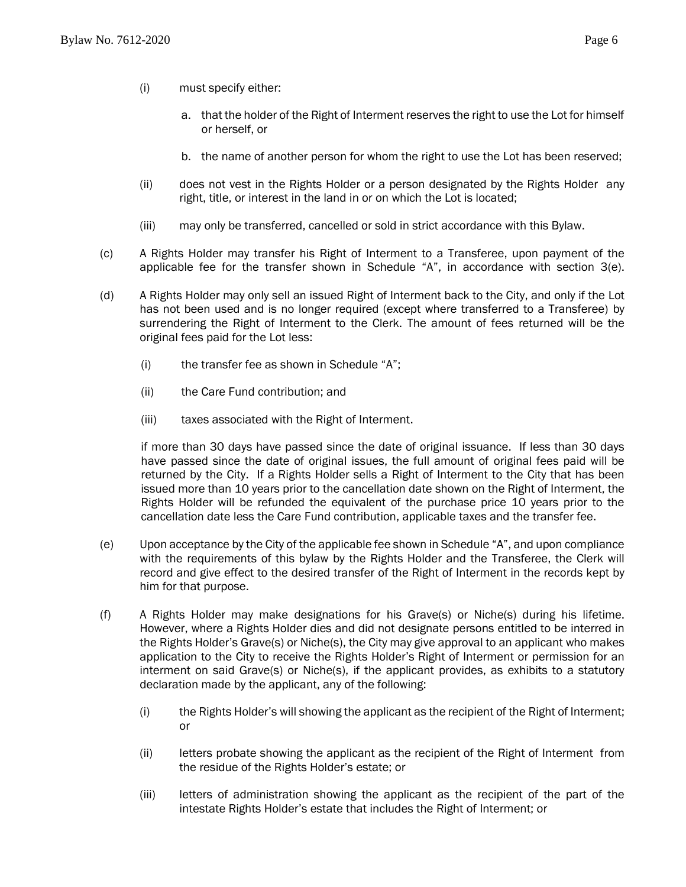- (i) must specify either:
	- a. that the holder of the Right of Interment reserves the right to use the Lot for himself or herself, or
	- b. the name of another person for whom the right to use the Lot has been reserved;
- (ii) does not vest in the Rights Holder or a person designated by the Rights Holder any right, title, or interest in the land in or on which the Lot is located;
- (iii) may only be transferred, cancelled or sold in strict accordance with this Bylaw.
- (c) A Rights Holder may transfer his Right of Interment to a Transferee, upon payment of the applicable fee for the transfer shown in Schedule "A", in accordance with section  $3(e)$ .
- (d) A Rights Holder may only sell an issued Right of Interment back to the City, and only if the Lot has not been used and is no longer required (except where transferred to a Transferee) by surrendering the Right of Interment to the Clerk. The amount of fees returned will be the original fees paid for the Lot less:
	- (i) the transfer fee as shown in Schedule "A";
	- (ii) the Care Fund contribution; and
	- (iii) taxes associated with the Right of Interment.

if more than 30 days have passed since the date of original issuance. If less than 30 days have passed since the date of original issues, the full amount of original fees paid will be returned by the City. If a Rights Holder sells a Right of Interment to the City that has been issued more than 10 years prior to the cancellation date shown on the Right of Interment, the Rights Holder will be refunded the equivalent of the purchase price 10 years prior to the cancellation date less the Care Fund contribution, applicable taxes and the transfer fee.

- (e) Upon acceptance by the City of the applicable fee shown in Schedule "A", and upon compliance with the requirements of this bylaw by the Rights Holder and the Transferee, the Clerk will record and give effect to the desired transfer of the Right of Interment in the records kept by him for that purpose.
- (f) A Rights Holder may make designations for his Grave(s) or Niche(s) during his lifetime. However, where a Rights Holder dies and did not designate persons entitled to be interred in the Rights Holder's Grave(s) or Niche(s), the City may give approval to an applicant who makes application to the City to receive the Rights Holder's Right of Interment or permission for an interment on said Grave(s) or Niche(s), if the applicant provides, as exhibits to a statutory declaration made by the applicant, any of the following:
	- (i) the Rights Holder's will showing the applicant as the recipient of the Right of Interment; or
	- (ii) letters probate showing the applicant as the recipient of the Right of Interment from the residue of the Rights Holder's estate; or
	- (iii) letters of administration showing the applicant as the recipient of the part of the intestate Rights Holder's estate that includes the Right of Interment; or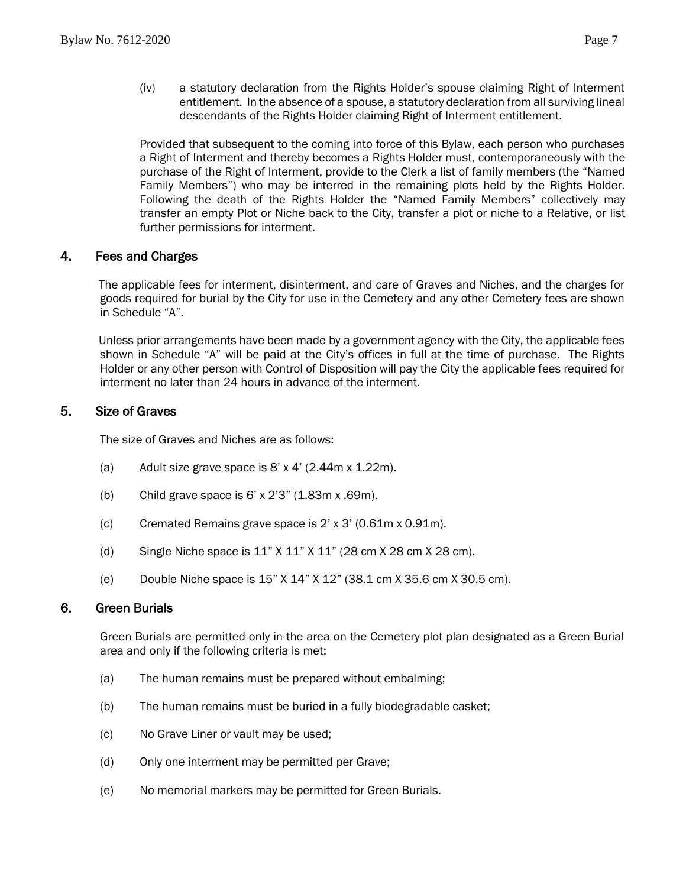(iv) a statutory declaration from the Rights Holder's spouse claiming Right of Interment entitlement. In the absence of a spouse, a statutory declaration from all surviving lineal descendants of the Rights Holder claiming Right of Interment entitlement.

Provided that subsequent to the coming into force of this Bylaw, each person who purchases a Right of Interment and thereby becomes a Rights Holder must, contemporaneously with the purchase of the Right of Interment, provide to the Clerk a list of family members (the "Named Family Members") who may be interred in the remaining plots held by the Rights Holder. Following the death of the Rights Holder the "Named Family Members" collectively may transfer an empty Plot or Niche back to the City, transfer a plot or niche to a Relative, or list further permissions for interment.

#### <span id="page-7-0"></span>4. Fees and Charges

The applicable fees for interment, disinterment, and care of Graves and Niches, and the charges for goods required for burial by the City for use in the Cemetery and any other Cemetery fees are shown in Schedule "A".

Unless prior arrangements have been made by a government agency with the City, the applicable fees shown in Schedule "A" will be paid at the City's offices in full at the time of purchase. The Rights Holder or any other person with Control of Disposition will pay the City the applicable fees required for interment no later than 24 hours in advance of the interment.

#### <span id="page-7-1"></span>5. Size of Graves

The size of Graves and Niches are as follows:

- (a) Adult size grave space is  $8' \times 4'$  (2.44m  $\times$  1.22m).
- (b) Child grave space is 6' x 2'3" (1.83m x .69m).
- (c) Cremated Remains grave space is  $2' \times 3'$  (0.61m x 0.91m).
- (d) Single Niche space is  $11" X 11" X 11" (28 cm X 28 cm X 28 cm)$ .
- (e) Double Niche space is 15" X 14" X 12" (38.1 cm X 35.6 cm X 30.5 cm).

#### <span id="page-7-2"></span>6. Green Burials

Green Burials are permitted only in the area on the Cemetery plot plan designated as a Green Burial area and only if the following criteria is met:

- (a) The human remains must be prepared without embalming;
- (b) The human remains must be buried in a fully biodegradable casket;
- (c) No Grave Liner or vault may be used;
- (d) Only one interment may be permitted per Grave;
- (e) No memorial markers may be permitted for Green Burials.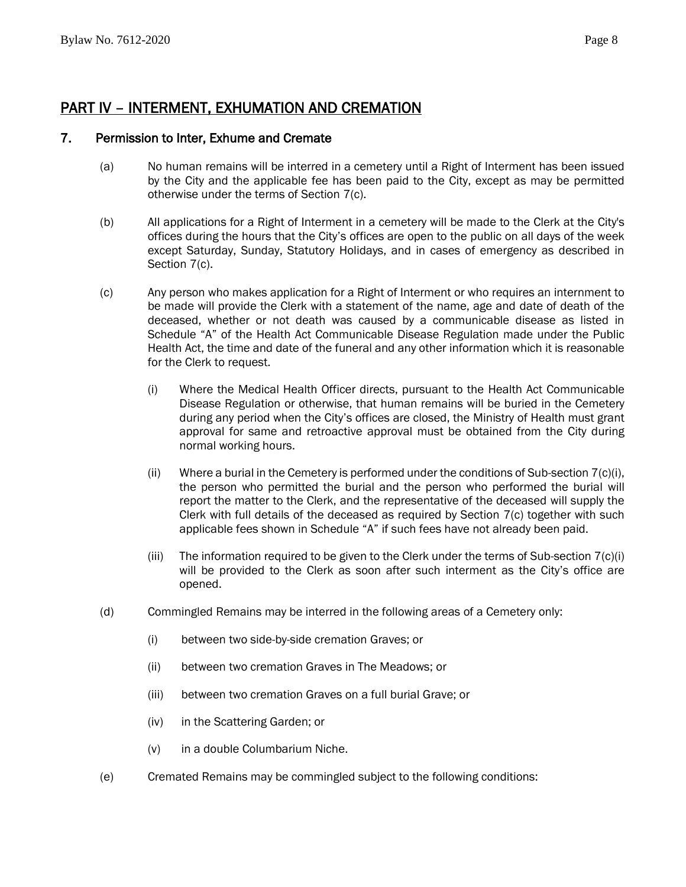# <span id="page-8-0"></span>PART IV – INTERMENT, EXHUMATION AND CREMATION

#### <span id="page-8-1"></span>7. Permission to Inter, Exhume and Cremate

- (a) No human remains will be interred in a cemetery until a Right of Interment has been issued by the City and the applicable fee has been paid to the City, except as may be permitted otherwise under the terms of Section 7(c).
- (b) All applications for a Right of Interment in a cemetery will be made to the Clerk at the City's offices during the hours that the City's offices are open to the public on all days of the week except Saturday, Sunday, Statutory Holidays, and in cases of emergency as described in Section 7(c).
- (c) Any person who makes application for a Right of Interment or who requires an internment to be made will provide the Clerk with a statement of the name, age and date of death of the deceased, whether or not death was caused by a communicable disease as listed in Schedule "A" of the Health Act Communicable Disease Regulation made under the Public Health Act, the time and date of the funeral and any other information which it is reasonable for the Clerk to request.
	- (i) Where the Medical Health Officer directs, pursuant to the Health Act Communicable Disease Regulation or otherwise, that human remains will be buried in the Cemetery during any period when the City's offices are closed, the Ministry of Health must grant approval for same and retroactive approval must be obtained from the City during normal working hours.
	- (ii) Where a burial in the Cemetery is performed under the conditions of Sub-section  $7(c)(i)$ , the person who permitted the burial and the person who performed the burial will report the matter to the Clerk, and the representative of the deceased will supply the Clerk with full details of the deceased as required by Section 7(c) together with such applicable fees shown in Schedule "A" if such fees have not already been paid.
	- (iii) The information required to be given to the Clerk under the terms of Sub-section  $7(c)(i)$ will be provided to the Clerk as soon after such interment as the City's office are opened.
- (d) Commingled Remains may be interred in the following areas of a Cemetery only:
	- (i) between two side-by-side cremation Graves; or
	- (ii) between two cremation Graves in The Meadows; or
	- (iii) between two cremation Graves on a full burial Grave; or
	- (iv) in the Scattering Garden; or
	- (v) in a double Columbarium Niche.
- (e) Cremated Remains may be commingled subject to the following conditions: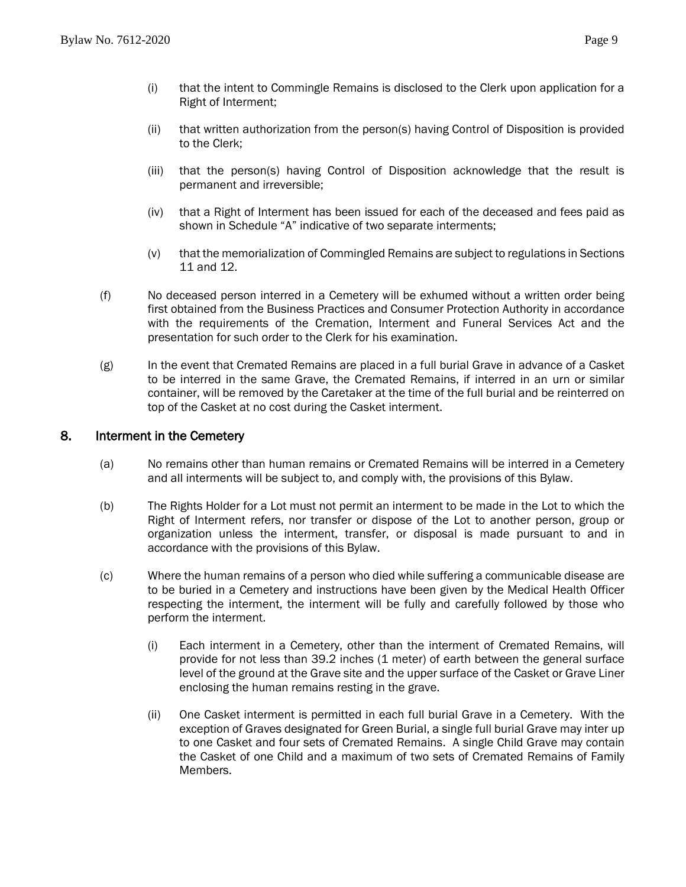- (i) that the intent to Commingle Remains is disclosed to the Clerk upon application for a Right of Interment;
- (ii) that written authorization from the person(s) having Control of Disposition is provided to the Clerk;
- (iii) that the person(s) having Control of Disposition acknowledge that the result is permanent and irreversible;
- (iv) that a Right of Interment has been issued for each of the deceased and fees paid as shown in Schedule "A" indicative of two separate interments;
- (v) that the memorialization of Commingled Remains are subject to regulations in Sections 11 and 12.
- (f) No deceased person interred in a Cemetery will be exhumed without a written order being first obtained from the Business Practices and Consumer Protection Authority in accordance with the requirements of the Cremation, Interment and Funeral Services Act and the presentation for such order to the Clerk for his examination.
- (g) In the event that Cremated Remains are placed in a full burial Grave in advance of a Casket to be interred in the same Grave, the Cremated Remains, if interred in an urn or similar container, will be removed by the Caretaker at the time of the full burial and be reinterred on top of the Casket at no cost during the Casket interment.

#### <span id="page-9-0"></span>8. Interment in the Cemetery

- (a) No remains other than human remains or Cremated Remains will be interred in a Cemetery and all interments will be subject to, and comply with, the provisions of this Bylaw.
- (b) The Rights Holder for a Lot must not permit an interment to be made in the Lot to which the Right of Interment refers, nor transfer or dispose of the Lot to another person, group or organization unless the interment, transfer, or disposal is made pursuant to and in accordance with the provisions of this Bylaw.
- (c) Where the human remains of a person who died while suffering a communicable disease are to be buried in a Cemetery and instructions have been given by the Medical Health Officer respecting the interment, the interment will be fully and carefully followed by those who perform the interment.
	- (i) Each interment in a Cemetery, other than the interment of Cremated Remains, will provide for not less than 39.2 inches (1 meter) of earth between the general surface level of the ground at the Grave site and the upper surface of the Casket or Grave Liner enclosing the human remains resting in the grave.
	- (ii) One Casket interment is permitted in each full burial Grave in a Cemetery. With the exception of Graves designated for Green Burial, a single full burial Grave may inter up to one Casket and four sets of Cremated Remains. A single Child Grave may contain the Casket of one Child and a maximum of two sets of Cremated Remains of Family Members.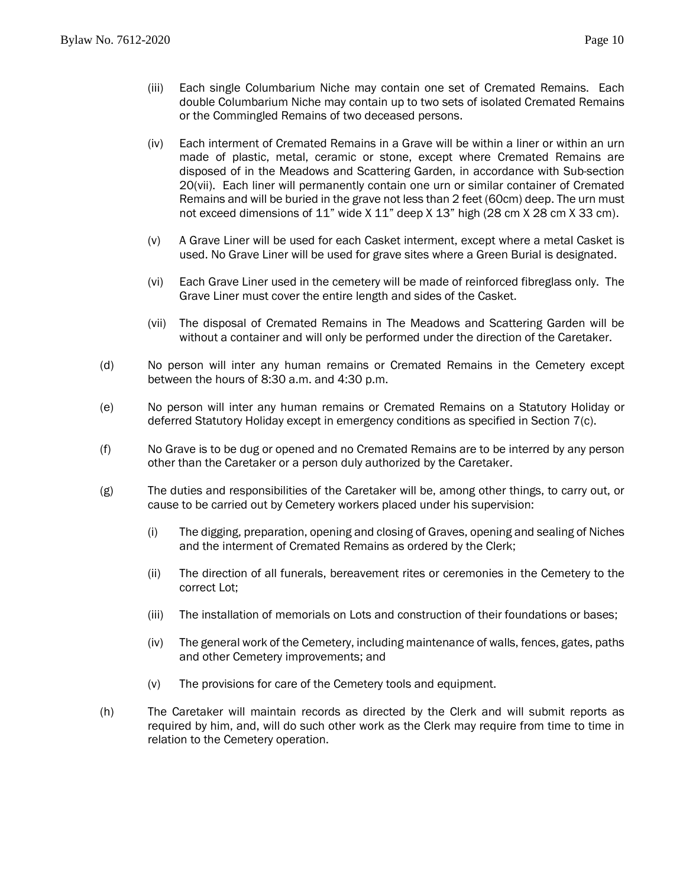- (iii) Each single Columbarium Niche may contain one set of Cremated Remains. Each double Columbarium Niche may contain up to two sets of isolated Cremated Remains or the Commingled Remains of two deceased persons.
- (iv) Each interment of Cremated Remains in a Grave will be within a liner or within an urn made of plastic, metal, ceramic or stone, except where Cremated Remains are disposed of in the Meadows and Scattering Garden, in accordance with Sub-section 2[0\(vii\).](#page-10-0) Each liner will permanently contain one urn or similar container of Cremated Remains and will be buried in the grave not less than 2 feet (60cm) deep. The urn must not exceed dimensions of 11" wide X 11" deep X 13" high (28 cm X 28 cm X 33 cm).
- (v) A Grave Liner will be used for each Casket interment, except where a metal Casket is used. No Grave Liner will be used for grave sites where a Green Burial is designated.
- (vi) Each Grave Liner used in the cemetery will be made of reinforced fibreglass only. The Grave Liner must cover the entire length and sides of the Casket.
- (vii) The disposal of Cremated Remains in The Meadows and Scattering Garden will be without a container and will only be performed under the direction of the Caretaker.
- <span id="page-10-0"></span>(d) No person will inter any human remains or Cremated Remains in the Cemetery except between the hours of 8:30 a.m. and 4:30 p.m.
- (e) No person will inter any human remains or Cremated Remains on a Statutory Holiday or deferred Statutory Holiday except in emergency conditions as specified in Section 7(c).
- (f) No Grave is to be dug or opened and no Cremated Remains are to be interred by any person other than the Caretaker or a person duly authorized by the Caretaker.
- (g) The duties and responsibilities of the Caretaker will be, among other things, to carry out, or cause to be carried out by Cemetery workers placed under his supervision:
	- (i) The digging, preparation, opening and closing of Graves, opening and sealing of Niches and the interment of Cremated Remains as ordered by the Clerk;
	- (ii) The direction of all funerals, bereavement rites or ceremonies in the Cemetery to the correct Lot;
	- (iii) The installation of memorials on Lots and construction of their foundations or bases;
	- (iv) The general work of the Cemetery, including maintenance of walls, fences, gates, paths and other Cemetery improvements; and
	- (v) The provisions for care of the Cemetery tools and equipment.
- (h) The Caretaker will maintain records as directed by the Clerk and will submit reports as required by him, and, will do such other work as the Clerk may require from time to time in relation to the Cemetery operation.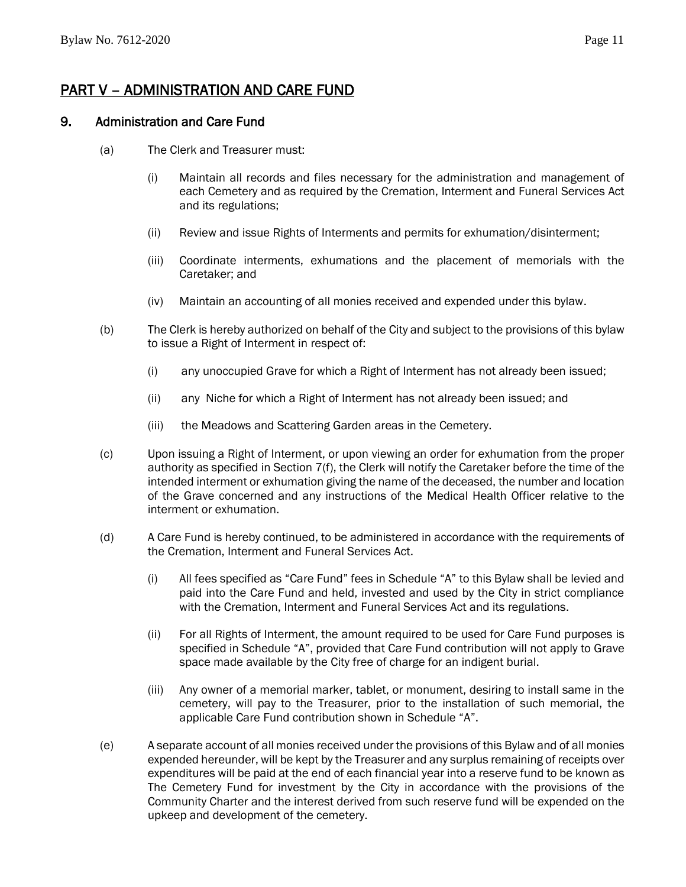# <span id="page-11-0"></span>PART V – ADMINISTRATION AND CARE FUND

#### <span id="page-11-1"></span>9. Administration and Care Fund

- (a) The Clerk and Treasurer must:
	- (i) Maintain all records and files necessary for the administration and management of each Cemetery and as required by the Cremation, Interment and Funeral Services Act and its regulations;
	- (ii) Review and issue Rights of Interments and permits for exhumation/disinterment;
	- (iii) Coordinate interments, exhumations and the placement of memorials with the Caretaker; and
	- (iv) Maintain an accounting of all monies received and expended under this bylaw.
- (b) The Clerk is hereby authorized on behalf of the City and subject to the provisions of this bylaw to issue a Right of Interment in respect of:
	- (i) any unoccupied Grave for which a Right of Interment has not already been issued;
	- (ii) any Niche for which a Right of Interment has not already been issued; and
	- (iii) the Meadows and Scattering Garden areas in the Cemetery.
- (c) Upon issuing a Right of Interment, or upon viewing an order for exhumation from the proper authority as specified in Section 7(f), the Clerk will notify the Caretaker before the time of the intended interment or exhumation giving the name of the deceased, the number and location of the Grave concerned and any instructions of the Medical Health Officer relative to the interment or exhumation.
- (d) A Care Fund is hereby continued, to be administered in accordance with the requirements of the Cremation, Interment and Funeral Services Act.
	- (i) All fees specified as "Care Fund" fees in Schedule "A" to this Bylaw shall be levied and paid into the Care Fund and held, invested and used by the City in strict compliance with the Cremation, Interment and Funeral Services Act and its regulations.
	- (ii) For all Rights of Interment, the amount required to be used for Care Fund purposes is specified in Schedule "A", provided that Care Fund contribution will not apply to Grave space made available by the City free of charge for an indigent burial.
	- (iii) Any owner of a memorial marker, tablet, or monument, desiring to install same in the cemetery, will pay to the Treasurer, prior to the installation of such memorial, the applicable Care Fund contribution shown in Schedule "A".
- (e) A separate account of all monies received under the provisions of this Bylaw and of all monies expended hereunder, will be kept by the Treasurer and any surplus remaining of receipts over expenditures will be paid at the end of each financial year into a reserve fund to be known as The Cemetery Fund for investment by the City in accordance with the provisions of the Community Charter and the interest derived from such reserve fund will be expended on the upkeep and development of the cemetery.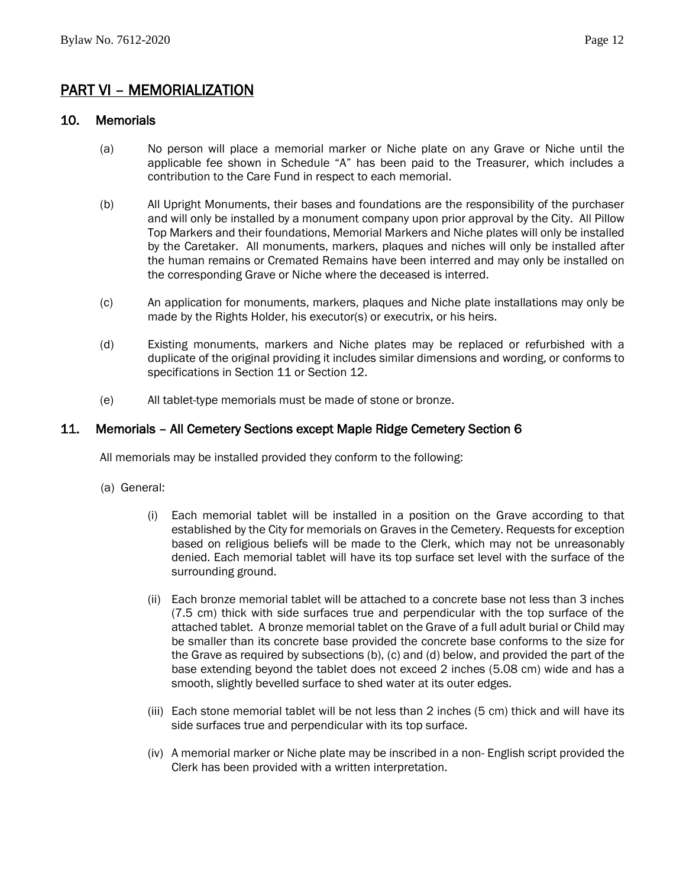## <span id="page-12-0"></span>PART VI – MEMORIALIZATION

#### <span id="page-12-1"></span>10. Memorials

- (a) No person will place a memorial marker or Niche plate on any Grave or Niche until the applicable fee shown in Schedule "A" has been paid to the Treasurer, which includes a contribution to the Care Fund in respect to each memorial.
- (b) All Upright Monuments, their bases and foundations are the responsibility of the purchaser and will only be installed by a monument company upon prior approval by the City. All Pillow Top Markers and their foundations, Memorial Markers and Niche plates will only be installed by the Caretaker. All monuments, markers, plaques and niches will only be installed after the human remains or Cremated Remains have been interred and may only be installed on the corresponding Grave or Niche where the deceased is interred.
- (c) An application for monuments, markers, plaques and Niche plate installations may only be made by the Rights Holder, his executor(s) or executrix, or his heirs.
- (d) Existing monuments, markers and Niche plates may be replaced or refurbished with a duplicate of the original providing it includes similar dimensions and wording, or conforms to specifications in Section 11 or Section 12.
- (e) All tablet-type memorials must be made of stone or bronze.

#### <span id="page-12-2"></span>11. Memorials – All Cemetery Sections except Maple Ridge Cemetery Section 6

All memorials may be installed provided they conform to the following:

- <span id="page-12-3"></span>(a) General:
	- (i) Each memorial tablet will be installed in a position on the Grave according to that established by the City for memorials on Graves in the Cemetery. Requests for exception based on religious beliefs will be made to the Clerk, which may not be unreasonably denied. Each memorial tablet will have its top surface set level with the surface of the surrounding ground.
	- (ii) Each bronze memorial tablet will be attached to a concrete base not less than 3 inches (7.5 cm) thick with side surfaces true and perpendicular with the top surface of the attached tablet. A bronze memorial tablet on the Grave of a full adult burial or Child may be smaller than its concrete base provided the concrete base conforms to the size for the Grave as required by subsections (b), (c) and (d) below, and provided the part of the base extending beyond the tablet does not exceed 2 inches (5.08 cm) wide and has a smooth, slightly bevelled surface to shed water at its outer edges.
	- (iii) Each stone memorial tablet will be not less than 2 inches (5 cm) thick and will have its side surfaces true and perpendicular with its top surface.
	- (iv) A memorial marker or Niche plate may be inscribed in a non- English script provided the Clerk has been provided with a written interpretation.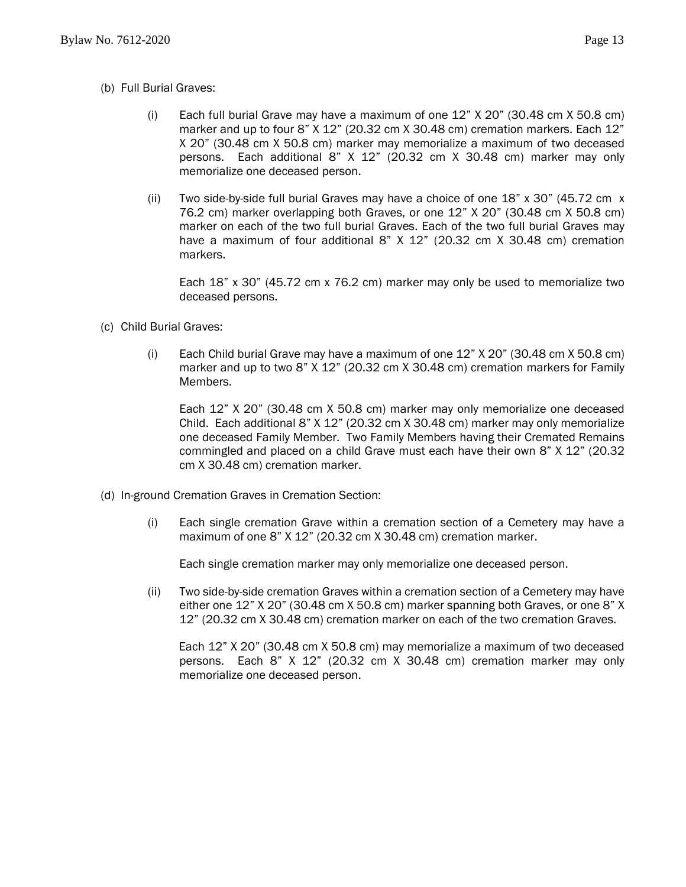- <span id="page-13-0"></span>(i) Each full burial Grave may have a maximum of one 12" X 20" (30.48 cm X 50.8 cm) marker and up to four 8" X 12" (20.32 cm X 30.48 cm) cremation markers. Each 12" X 20" (30.48 cm X 50.8 cm) marker may memorialize a maximum of two deceased persons. Each additional 8" X 12" (20.32 cm X 30.48 cm) marker may only memorialize one deceased person.
- (ii) Two side-by-side full burial Graves may have a choice of one  $18"$  x  $30"$  (45.72 cm x) 76.2 cm) marker overlapping both Graves, or one 12" X 20" (30.48 cm X 50.8 cm) marker on each of the two full burial Graves. Each of the two full burial Graves may have a maximum of four additional 8" X 12" (20.32 cm X 30.48 cm) cremation markers.

Each 18" x 30" (45.72 cm x 76.2 cm) marker may only be used to memorialize two deceased persons.

- <span id="page-13-1"></span>(c) Child Burial Graves:
	- (i) Each Child burial Grave may have a maximum of one 12" X 20" (30.48 cm X 50.8 cm) marker and up to two 8" X 12" (20.32 cm X 30.48 cm) cremation markers for Family Members.

Each 12" X 20" (30.48 cm X 50.8 cm) marker may only memorialize one deceased Child. Each additional 8" X 12" (20.32 cm X 30.48 cm) marker may only memorialize one deceased Family Member. Two Family Members having their Cremated Remains commingled and placed on a child Grave must each have their own 8" X 12" (20.32 cm X 30.48 cm) cremation marker.

- <span id="page-13-2"></span>(d) In-ground Cremation Graves in Cremation Section:
	- (i) Each single cremation Grave within a cremation section of a Cemetery may have a maximum of one 8" X 12" (20.32 cm X 30.48 cm) cremation marker.

Each single cremation marker may only memorialize one deceased person.

(ii) Two side-by-side cremation Graves within a cremation section of a Cemetery may have either one 12" X 20" (30.48 cm X 50.8 cm) marker spanning both Graves, or one 8" X 12" (20.32 cm X 30.48 cm) cremation marker on each of the two cremation Graves.

<span id="page-13-3"></span>Each 12" X 20" (30.48 cm X 50.8 cm) may memorialize a maximum of two deceased persons. Each 8" X 12" (20.32 cm X 30.48 cm) cremation marker may only memorialize one deceased person.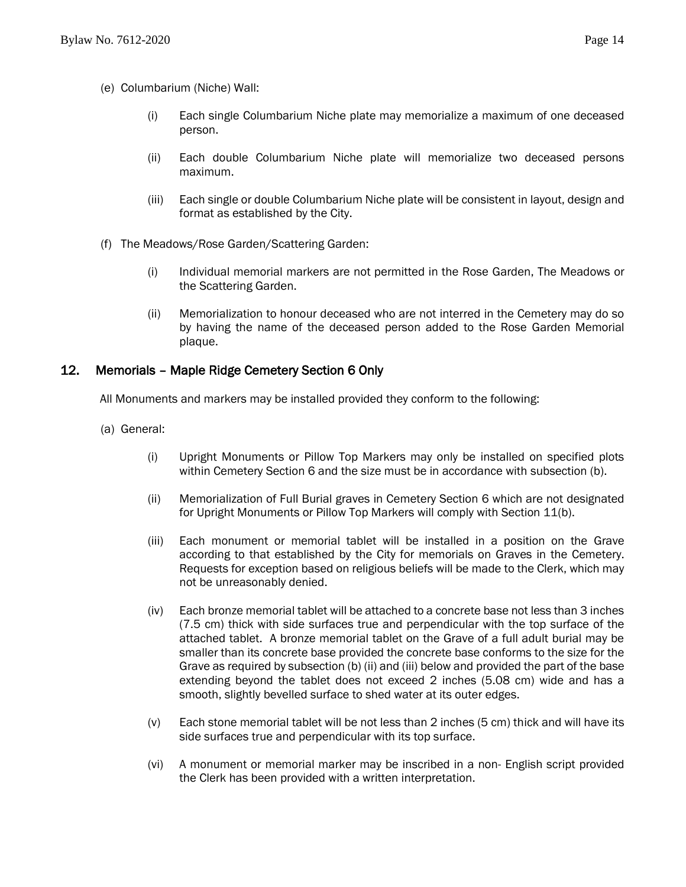- (e) Columbarium (Niche) Wall:
	- (i) Each single Columbarium Niche plate may memorialize a maximum of one deceased person.
	- (ii) Each double Columbarium Niche plate will memorialize two deceased persons maximum.
	- (iii) Each single or double Columbarium Niche plate will be consistent in layout, design and format as established by the City.
- <span id="page-14-0"></span>(f) The Meadows/Rose Garden/Scattering Garden:
	- (i) Individual memorial markers are not permitted in the Rose Garden, The Meadows or the Scattering Garden.
	- (ii) Memorialization to honour deceased who are not interred in the Cemetery may do so by having the name of the deceased person added to the Rose Garden Memorial plaque.

# <span id="page-14-1"></span>12. Memorials – Maple Ridge Cemetery Section 6 Only

All Monuments and markers may be installed provided they conform to the following:

- <span id="page-14-2"></span>(a) General:
	- (i) Upright Monuments or Pillow Top Markers may only be installed on specified plots within Cemetery Section 6 and the size must be in accordance with subsection (b).
	- (ii) Memorialization of Full Burial graves in Cemetery Section 6 which are not designated for Upright Monuments or Pillow Top Markers will comply with Section 11(b).
	- (iii) Each monument or memorial tablet will be installed in a position on the Grave according to that established by the City for memorials on Graves in the Cemetery. Requests for exception based on religious beliefs will be made to the Clerk, which may not be unreasonably denied.
	- (iv) Each bronze memorial tablet will be attached to a concrete base not less than 3 inches (7.5 cm) thick with side surfaces true and perpendicular with the top surface of the attached tablet. A bronze memorial tablet on the Grave of a full adult burial may be smaller than its concrete base provided the concrete base conforms to the size for the Grave as required by subsection (b) (ii) and (iii) below and provided the part of the base extending beyond the tablet does not exceed 2 inches (5.08 cm) wide and has a smooth, slightly bevelled surface to shed water at its outer edges.
	- (v) Each stone memorial tablet will be not less than 2 inches (5 cm) thick and will have its side surfaces true and perpendicular with its top surface.
	- (vi) A monument or memorial marker may be inscribed in a non- English script provided the Clerk has been provided with a written interpretation.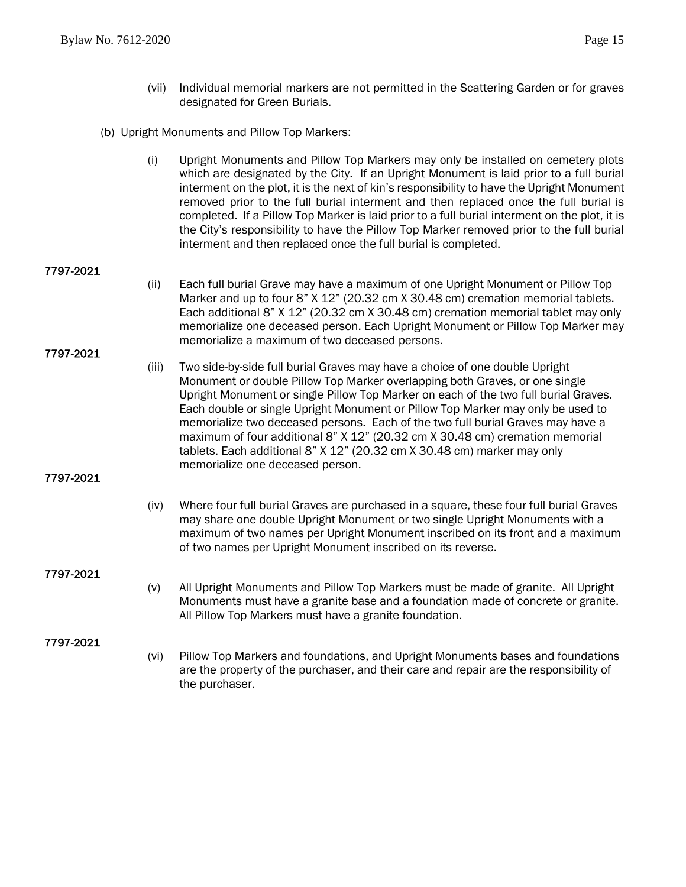- (vii) Individual memorial markers are not permitted in the Scattering Garden or for graves designated for Green Burials.
- <span id="page-15-0"></span>(b) Upright Monuments and Pillow Top Markers:
	- (i) Upright Monuments and Pillow Top Markers may only be installed on cemetery plots which are designated by the City. If an Upright Monument is laid prior to a full burial interment on the plot, it is the next of kin's responsibility to have the Upright Monument removed prior to the full burial interment and then replaced once the full burial is completed. If a Pillow Top Marker is laid prior to a full burial interment on the plot, it is the City's responsibility to have the Pillow Top Marker removed prior to the full burial interment and then replaced once the full burial is completed.

#### 7797-2021

(ii) Each full burial Grave may have a maximum of one Upright Monument or Pillow Top Marker and up to four 8" X 12" (20.32 cm X 30.48 cm) cremation memorial tablets. Each additional 8" X 12" (20.32 cm X 30.48 cm) cremation memorial tablet may only memorialize one deceased person. Each Upright Monument or Pillow Top Marker may memorialize a maximum of two deceased persons.

#### 7797-2021

(iii) Two side-by-side full burial Graves may have a choice of one double Upright Monument or double Pillow Top Marker overlapping both Graves, or one single Upright Monument or single Pillow Top Marker on each of the two full burial Graves. Each double or single Upright Monument or Pillow Top Marker may only be used to memorialize two deceased persons. Each of the two full burial Graves may have a maximum of four additional 8" X 12" (20.32 cm X 30.48 cm) cremation memorial tablets. Each additional 8" X 12" (20.32 cm X 30.48 cm) marker may only memorialize one deceased person.

#### 7797-2021

(iv) Where four full burial Graves are purchased in a square, these four full burial Graves may share one double Upright Monument or two single Upright Monuments with a maximum of two names per Upright Monument inscribed on its front and a maximum of two names per Upright Monument inscribed on its reverse.

#### 7797-2021

(v) All Upright Monuments and Pillow Top Markers must be made of granite. All Upright Monuments must have a granite base and a foundation made of concrete or granite. All Pillow Top Markers must have a granite foundation.

#### 7797-2021

(vi) Pillow Top Markers and foundations, and Upright Monuments bases and foundations are the property of the purchaser, and their care and repair are the responsibility of the purchaser.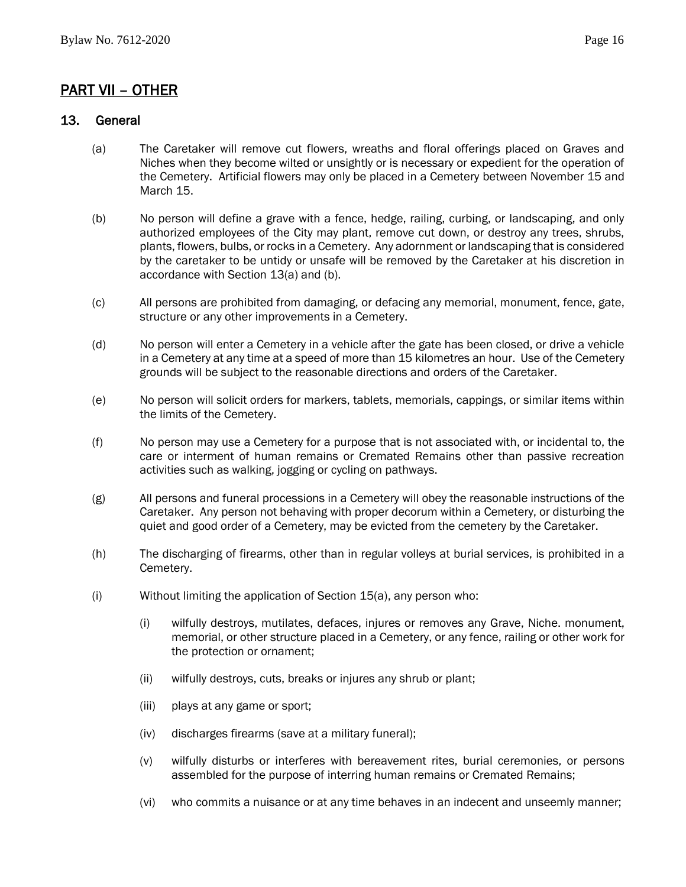# <span id="page-16-0"></span>PART VII – OTHER

#### <span id="page-16-1"></span>13. General

- (a) The Caretaker will remove cut flowers, wreaths and floral offerings placed on Graves and Niches when they become wilted or unsightly or is necessary or expedient for the operation of the Cemetery. Artificial flowers may only be placed in a Cemetery between November 15 and March 15.
- (b) No person will define a grave with a fence, hedge, railing, curbing, or landscaping, and only authorized employees of the City may plant, remove cut down, or destroy any trees, shrubs, plants, flowers, bulbs, or rocks in a Cemetery. Any adornment or landscaping that is considered by the caretaker to be untidy or unsafe will be removed by the Caretaker at his discretion in accordance with Section 13(a) and (b).
- (c) All persons are prohibited from damaging, or defacing any memorial, monument, fence, gate, structure or any other improvements in a Cemetery.
- (d) No person will enter a Cemetery in a vehicle after the gate has been closed, or drive a vehicle in a Cemetery at any time at a speed of more than 15 kilometres an hour. Use of the Cemetery grounds will be subject to the reasonable directions and orders of the Caretaker.
- (e) No person will solicit orders for markers, tablets, memorials, cappings, or similar items within the limits of the Cemetery.
- (f) No person may use a Cemetery for a purpose that is not associated with, or incidental to, the care or interment of human remains or Cremated Remains other than passive recreation activities such as walking, jogging or cycling on pathways.
- (g) All persons and funeral processions in a Cemetery will obey the reasonable instructions of the Caretaker. Any person not behaving with proper decorum within a Cemetery, or disturbing the quiet and good order of a Cemetery, may be evicted from the cemetery by the Caretaker.
- (h) The discharging of firearms, other than in regular volleys at burial services, is prohibited in a Cemetery.
- (i) Without limiting the application of Section 15(a), any person who:
	- (i) wilfully destroys, mutilates, defaces, injures or removes any Grave, Niche. monument, memorial, or other structure placed in a Cemetery, or any fence, railing or other work for the protection or ornament;
	- (ii) wilfully destroys, cuts, breaks or injures any shrub or plant;
	- (iii) plays at any game or sport;
	- (iv) discharges firearms (save at a military funeral);
	- (v) wilfully disturbs or interferes with bereavement rites, burial ceremonies, or persons assembled for the purpose of interring human remains or Cremated Remains;
	- (vi) who commits a nuisance or at any time behaves in an indecent and unseemly manner;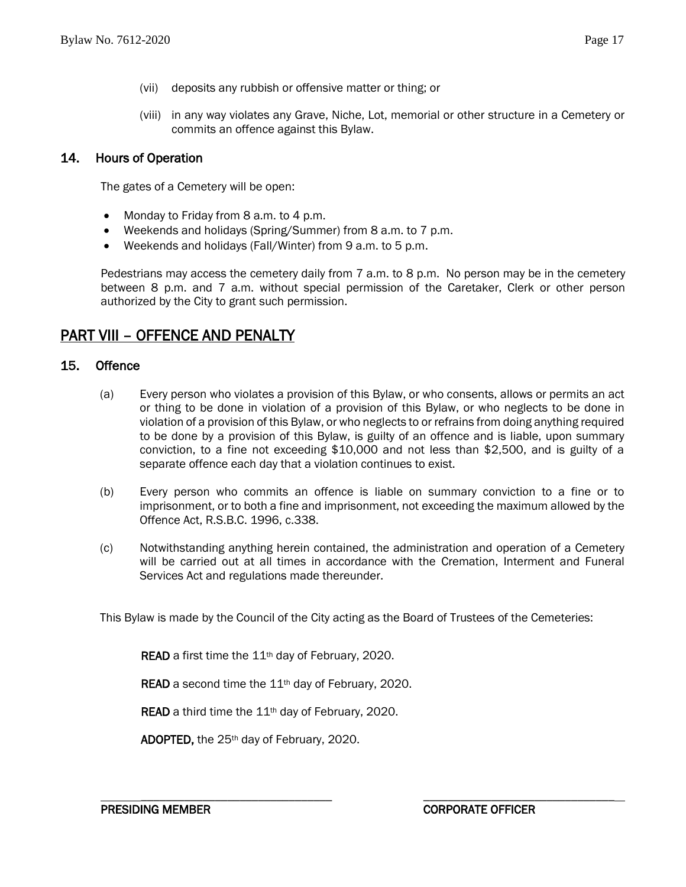- (vii) deposits any rubbish or offensive matter or thing; or
- (viii) in any way violates any Grave, Niche, Lot, memorial or other structure in a Cemetery or commits an offence against this Bylaw.

#### <span id="page-17-0"></span>14. Hours of Operation

The gates of a Cemetery will be open:

- Monday to Friday from 8 a.m. to 4 p.m.
- Weekends and holidays (Spring/Summer) from 8 a.m. to 7 p.m.
- Weekends and holidays (Fall/Winter) from 9 a.m. to 5 p.m.

Pedestrians may access the cemetery daily from 7 a.m. to 8 p.m. No person may be in the cemetery between 8 p.m. and 7 a.m. without special permission of the Caretaker, Clerk or other person authorized by the City to grant such permission.

## <span id="page-17-1"></span>PART VIII – OFFENCE AND PENALTY

#### <span id="page-17-2"></span>15. Offence

- (a) Every person who violates a provision of this Bylaw, or who consents, allows or permits an act or thing to be done in violation of a provision of this Bylaw, or who neglects to be done in violation of a provision of this Bylaw, or who neglects to or refrains from doing anything required to be done by a provision of this Bylaw, is guilty of an offence and is liable, upon summary conviction, to a fine not exceeding \$10,000 and not less than \$2,500, and is guilty of a separate offence each day that a violation continues to exist.
- (b) Every person who commits an offence is liable on summary conviction to a fine or to imprisonment, or to both a fine and imprisonment, not exceeding the maximum allowed by the Offence Act, R.S.B.C. 1996, c.338.
- (c) Notwithstanding anything herein contained, the administration and operation of a Cemetery will be carried out at all times in accordance with the Cremation, Interment and Funeral Services Act and regulations made thereunder.

\_\_\_\_\_\_\_\_\_\_\_\_\_\_\_\_\_\_\_\_\_\_\_\_\_\_\_\_\_\_\_ \_\_\_\_\_\_\_\_\_\_\_\_\_\_\_\_\_\_\_\_\_\_\_\_\_\_\_\_\_\_\_

This Bylaw is made by the Council of the City acting as the Board of Trustees of the Cemeteries:

READ a first time the 11<sup>th</sup> day of February, 2020.

READ a second time the 11<sup>th</sup> day of February, 2020.

READ a third time the 11<sup>th</sup> day of February, 2020.

ADOPTED, the 25th day of February, 2020.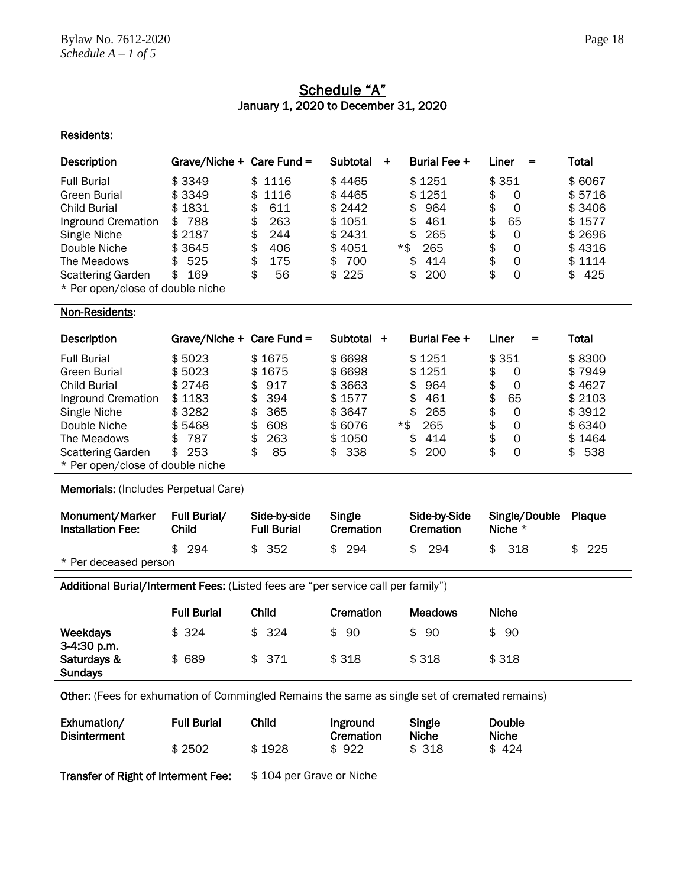<span id="page-18-0"></span>

| <b>Residents:</b>                                                                                                                                                                                     |                                                                                       |                                                                                                       |                                                                                              |                                                                                          |                                                                                                                                          |                                                                                  |
|-------------------------------------------------------------------------------------------------------------------------------------------------------------------------------------------------------|---------------------------------------------------------------------------------------|-------------------------------------------------------------------------------------------------------|----------------------------------------------------------------------------------------------|------------------------------------------------------------------------------------------|------------------------------------------------------------------------------------------------------------------------------------------|----------------------------------------------------------------------------------|
| <b>Description</b>                                                                                                                                                                                    | Grave/Niche + Care Fund =                                                             |                                                                                                       | Subtotal<br>$\ddot{}$                                                                        | Burial Fee +                                                                             | Liner<br>$=$                                                                                                                             | Total                                                                            |
| <b>Full Burial</b><br><b>Green Burial</b><br><b>Child Burial</b><br>Inground Cremation<br>Single Niche<br>Double Niche<br>The Meadows<br><b>Scattering Garden</b><br>* Per open/close of double niche | \$3349<br>\$3349<br>\$1831<br>788<br>\$<br>\$2187<br>\$3645<br>525<br>\$<br>169<br>\$ | 1116<br>\$<br>\$<br>1116<br>\$<br>611<br>\$<br>263<br>\$<br>244<br>\$<br>406<br>\$<br>175<br>\$<br>56 | \$4465<br>\$4465<br>\$2442<br>\$1051<br>\$2431<br>\$4051<br>$*$ \$<br>700<br>\$<br>225<br>\$ | \$1251<br>\$1251<br>964<br>\$<br>461<br>\$<br>\$<br>265<br>265<br>\$<br>414<br>\$<br>200 | \$351<br>\$<br>0<br>\$<br>0<br>\$<br>65<br>\$<br>$\mathsf{O}\xspace$<br>\$<br>$\mathbf 0$<br>\$<br>$\mathsf{O}\xspace$<br>\$<br>$\Omega$ | \$6067<br>\$5716<br>\$3406<br>\$1577<br>\$2696<br>\$4316<br>\$1114<br>425<br>\$. |
| Non-Residents:                                                                                                                                                                                        |                                                                                       |                                                                                                       |                                                                                              |                                                                                          |                                                                                                                                          |                                                                                  |
| Description                                                                                                                                                                                           | Grave/Niche + Care Fund =                                                             |                                                                                                       | Subtotal +                                                                                   | Burial Fee +                                                                             | Liner<br>=                                                                                                                               | Total                                                                            |
| <b>Full Burial</b><br><b>Green Burial</b><br><b>Child Burial</b><br>Inground Cremation<br>Single Niche<br>Double Niche<br>The Meadows<br><b>Scattering Garden</b><br>* Per open/close of double niche | \$5023<br>\$5023<br>\$2746<br>\$1183<br>\$3282<br>\$5468<br>787<br>\$<br>\$<br>253    | \$1675<br>\$<br>1675<br>\$<br>917<br>394<br>\$<br>\$<br>365<br>\$<br>608<br>\$<br>263<br>\$<br>85     | \$6698<br>\$6698<br>\$3663<br>\$1577<br>\$3647<br>\$6076<br>*\$<br>\$1050<br>338<br>\$       | \$1251<br>\$1251<br>\$<br>964<br>\$<br>461<br>\$<br>265<br>265<br>\$<br>414<br>\$<br>200 | \$351<br>\$<br>0<br>\$<br>$\mathbf 0$<br>\$<br>65<br>\$<br>0<br>\$<br>0<br>\$<br>0<br>\$<br>0                                            | \$8300<br>\$7949<br>\$4627<br>\$2103<br>\$3912<br>\$6340<br>\$1464<br>538<br>\$  |
| <b>Memorials:</b> (Includes Perpetual Care)                                                                                                                                                           |                                                                                       |                                                                                                       |                                                                                              |                                                                                          |                                                                                                                                          |                                                                                  |
| Monument/Marker<br><b>Installation Fee:</b>                                                                                                                                                           | Full Burial/<br><b>Child</b>                                                          | Side-by-side<br><b>Full Burial</b>                                                                    | Single<br>Cremation                                                                          | Side-by-Side<br>Cremation                                                                | Single/Double<br>Niche *                                                                                                                 | Plaque                                                                           |
| * Per deceased person                                                                                                                                                                                 | \$<br>294                                                                             | 352<br>\$                                                                                             | 294<br>\$                                                                                    | 294<br>\$                                                                                | \$<br>318                                                                                                                                | 225<br>\$                                                                        |
| Additional Burial/Interment Fees: (Listed fees are "per service call per family")                                                                                                                     |                                                                                       |                                                                                                       |                                                                                              |                                                                                          |                                                                                                                                          |                                                                                  |
|                                                                                                                                                                                                       | <b>Full Burial</b>                                                                    | Child                                                                                                 | Cremation                                                                                    | <b>Meadows</b>                                                                           | <b>Niche</b>                                                                                                                             |                                                                                  |
| Weekdays<br>3-4:30 p.m.<br>Saturdays &<br><b>Sundays</b>                                                                                                                                              | \$324<br>\$ 689                                                                       | 324<br>\$<br>\$371                                                                                    | 90<br>\$<br>\$318                                                                            | \$<br>90<br>\$318                                                                        | 90<br>\$<br>\$318                                                                                                                        |                                                                                  |
| Other: (Fees for exhumation of Commingled Remains the same as single set of cremated remains)                                                                                                         |                                                                                       |                                                                                                       |                                                                                              |                                                                                          |                                                                                                                                          |                                                                                  |
| Exhumation/                                                                                                                                                                                           | <b>Full Burial</b>                                                                    | Child                                                                                                 | Inground                                                                                     | Single                                                                                   | <b>Double</b>                                                                                                                            |                                                                                  |
| <b>Disinterment</b>                                                                                                                                                                                   | \$2502                                                                                | \$1928                                                                                                | Cremation<br>\$922                                                                           | <b>Niche</b><br>\$318                                                                    | <b>Niche</b><br>\$424                                                                                                                    |                                                                                  |
| Transfer of Right of Interment Fee:                                                                                                                                                                   |                                                                                       | \$104 per Grave or Niche                                                                              |                                                                                              |                                                                                          |                                                                                                                                          |                                                                                  |

### Schedule "A" January 1, 2020 to December 31, 2020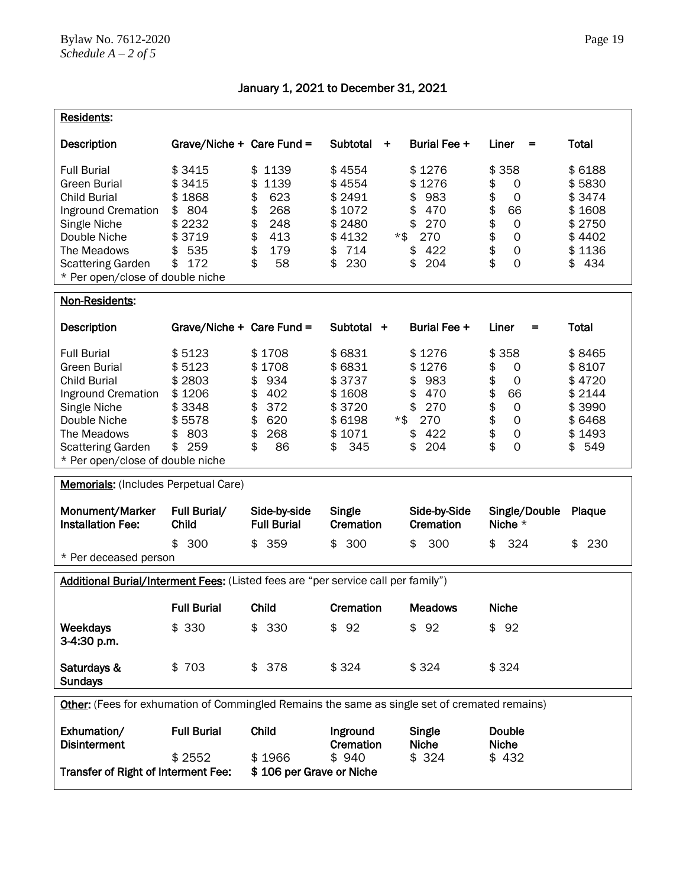| Residents:                                                                                                                                                                                            |                                                                                       |                                                                                                       |                                                                                              |                                                                                          |                                                                                                                                                      |                                                                                  |
|-------------------------------------------------------------------------------------------------------------------------------------------------------------------------------------------------------|---------------------------------------------------------------------------------------|-------------------------------------------------------------------------------------------------------|----------------------------------------------------------------------------------------------|------------------------------------------------------------------------------------------|------------------------------------------------------------------------------------------------------------------------------------------------------|----------------------------------------------------------------------------------|
| Description                                                                                                                                                                                           | Grave/Niche + Care Fund =                                                             |                                                                                                       | Subtotal<br>۰,                                                                               | Burial Fee +                                                                             | Liner<br>=                                                                                                                                           | Total                                                                            |
| <b>Full Burial</b><br><b>Green Burial</b><br><b>Child Burial</b><br>Inground Cremation<br>Single Niche<br>Double Niche<br>The Meadows<br><b>Scattering Garden</b><br>* Per open/close of double niche | \$3415<br>\$3415<br>\$1868<br>804<br>\$<br>\$2232<br>\$3719<br>535<br>\$<br>\$<br>172 | 1139<br>\$<br>1139<br>\$<br>\$<br>623<br>\$<br>268<br>\$<br>248<br>\$<br>413<br>\$<br>179<br>\$<br>58 | \$4554<br>\$4554<br>\$2491<br>\$1072<br>\$2480<br>\$4132<br>$*$ \$<br>714<br>\$<br>\$<br>230 | \$1276<br>\$1276<br>983<br>\$<br>\$<br>470<br>\$<br>270<br>270<br>422<br>\$<br>204<br>\$ | 358<br>\$<br>\$<br>0<br>\$<br>$\mathbf 0$<br>\$<br>66<br>\$<br>$\mathsf{O}\xspace$<br>\$<br>$\mathbf 0$<br>\$<br>$\mathbf 0$<br>\$<br>$\overline{O}$ | \$6188<br>\$5830<br>\$3474<br>\$1608<br>\$2750<br>\$4402<br>\$1136<br>434<br>\$  |
| Non-Residents:                                                                                                                                                                                        |                                                                                       |                                                                                                       |                                                                                              |                                                                                          |                                                                                                                                                      |                                                                                  |
| <b>Description</b>                                                                                                                                                                                    | Grave/Niche + Care Fund =                                                             |                                                                                                       | Subtotal +                                                                                   | Burial Fee +                                                                             | Liner<br>=                                                                                                                                           | Total                                                                            |
| <b>Full Burial</b><br><b>Green Burial</b><br><b>Child Burial</b><br>Inground Cremation<br>Single Niche<br>Double Niche<br>The Meadows<br><b>Scattering Garden</b><br>* Per open/close of double niche | \$5123<br>\$5123<br>\$2803<br>\$1206<br>\$3348<br>\$5578<br>803<br>\$<br>259<br>\$    | \$1708<br>\$<br>1708<br>934<br>\$<br>\$<br>402<br>\$<br>372<br>\$<br>620<br>\$<br>268<br>\$<br>86     | \$6831<br>\$6831<br>\$3737<br>\$1608<br>\$3720<br>\$6198<br>*\$<br>\$1071<br>\$<br>345       | \$1276<br>\$1276<br>983<br>\$<br>470<br>\$<br>\$<br>270<br>270<br>422<br>\$<br>204<br>\$ | 358<br>\$<br>\$<br>0<br>\$<br>$\mathbf 0$<br>\$<br>66<br>\$<br>$\mathsf{O}\xspace$<br>\$<br>$\mathbf 0$<br>\$<br>$\mathsf{O}\xspace$<br>\$<br>0      | \$8465<br>\$8107<br>\$4720<br>\$2144<br>\$3990<br>\$6468<br>\$1493<br>549<br>\$. |
| <b>Memorials:</b> (Includes Perpetual Care)                                                                                                                                                           |                                                                                       |                                                                                                       |                                                                                              |                                                                                          |                                                                                                                                                      |                                                                                  |
| Monument/Marker<br><b>Installation Fee:</b>                                                                                                                                                           | Full Burial/<br>Child                                                                 | Side-by-side<br><b>Full Burial</b>                                                                    | Single<br>Cremation                                                                          | Side-by-Side<br>Cremation                                                                | Single/Double<br>Niche *                                                                                                                             | Plaque                                                                           |
| * Per deceased person                                                                                                                                                                                 | \$<br>300                                                                             | 359<br>\$                                                                                             | 300<br>\$                                                                                    | 300<br>\$                                                                                | 324<br>\$                                                                                                                                            | 230<br>\$                                                                        |
| Additional Burial/Interment Fees: (Listed fees are "per service call per family")                                                                                                                     |                                                                                       |                                                                                                       |                                                                                              |                                                                                          |                                                                                                                                                      |                                                                                  |
|                                                                                                                                                                                                       | <b>Full Burial</b>                                                                    | Child                                                                                                 | Cremation                                                                                    | <b>Meadows</b>                                                                           | <b>Niche</b>                                                                                                                                         |                                                                                  |
| Weekdays<br>3-4:30 p.m.                                                                                                                                                                               | \$ 330                                                                                | \$330                                                                                                 | 92<br>\$                                                                                     | \$92                                                                                     | \$92                                                                                                                                                 |                                                                                  |
| Saturdays &<br><b>Sundays</b>                                                                                                                                                                         | \$703                                                                                 | \$378                                                                                                 | \$324                                                                                        | \$324                                                                                    | \$324                                                                                                                                                |                                                                                  |
| Other: (Fees for exhumation of Commingled Remains the same as single set of cremated remains)                                                                                                         |                                                                                       |                                                                                                       |                                                                                              |                                                                                          |                                                                                                                                                      |                                                                                  |
| Exhumation/<br><b>Disinterment</b>                                                                                                                                                                    | <b>Full Burial</b>                                                                    | Child                                                                                                 | Inground<br>Cremation                                                                        | Single<br><b>Niche</b>                                                                   | Double<br><b>Niche</b>                                                                                                                               |                                                                                  |
| Transfer of Right of Interment Fee:                                                                                                                                                                   | \$2552                                                                                | \$1966<br>\$106 per Grave or Niche                                                                    | \$940                                                                                        | \$324                                                                                    | \$432                                                                                                                                                |                                                                                  |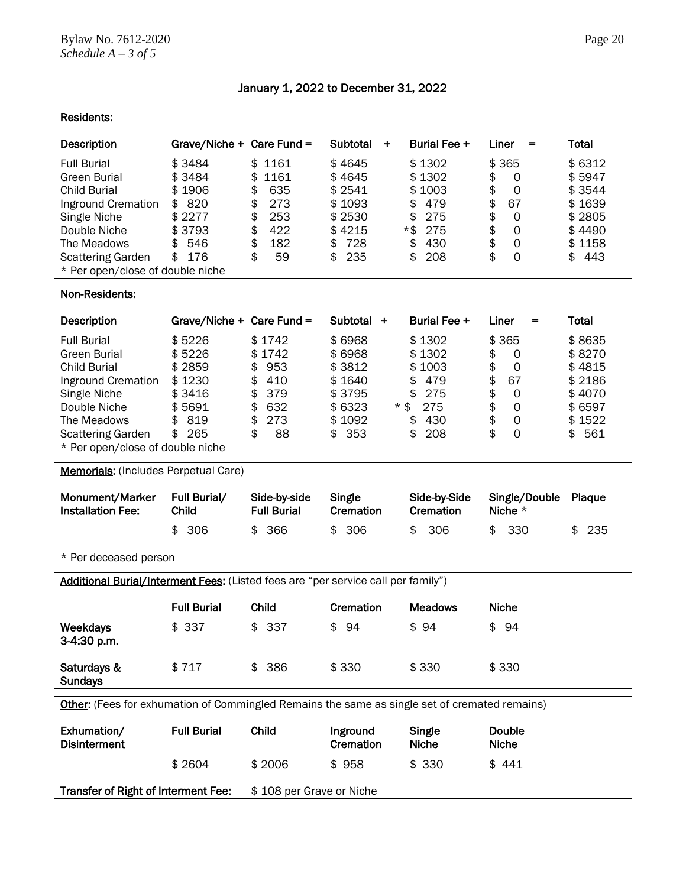| <b>Residents:</b>                                                                                                                                                                              |                                                                                       |                                                                                                       |                                                                                           |                                                                                              |                                                                                                                                            |                                                                                  |  |
|------------------------------------------------------------------------------------------------------------------------------------------------------------------------------------------------|---------------------------------------------------------------------------------------|-------------------------------------------------------------------------------------------------------|-------------------------------------------------------------------------------------------|----------------------------------------------------------------------------------------------|--------------------------------------------------------------------------------------------------------------------------------------------|----------------------------------------------------------------------------------|--|
| <b>Description</b>                                                                                                                                                                             | Grave/Niche + Care Fund =                                                             |                                                                                                       | Subtotal<br>$\ddot{}$                                                                     | Burial Fee +                                                                                 | Liner<br>=                                                                                                                                 | Total                                                                            |  |
| <b>Full Burial</b><br>Green Burial<br><b>Child Burial</b><br>Inground Cremation<br>Single Niche<br>Double Niche<br>The Meadows<br><b>Scattering Garden</b><br>* Per open/close of double niche | \$3484<br>\$3484<br>\$1906<br>820<br>\$<br>\$2277<br>\$3793<br>\$<br>546<br>176<br>\$ | 1161<br>\$<br>\$<br>1161<br>\$<br>635<br>\$<br>273<br>\$<br>253<br>\$<br>422<br>\$<br>182<br>\$<br>59 | \$4645<br>\$4645<br>\$2541<br>\$1093<br>\$2530<br>\$4215<br>728<br>\$<br>\$<br>235        | \$1302<br>\$1302<br>\$1003<br>479<br>\$<br>\$<br>275<br>*\$<br>275<br>\$<br>430<br>208<br>\$ | 365<br>\$<br>\$<br>0<br>\$<br>0<br>\$<br>67<br>\$<br>$\mathsf{O}\xspace$<br>\$<br>$\mathbf 0$<br>\$<br>$\mathbf 0$<br>\$<br>$\overline{O}$ | \$6312<br>\$5947<br>\$3544<br>\$1639<br>\$2805<br>\$4490<br>\$1158<br>443<br>\$. |  |
| Non-Residents:                                                                                                                                                                                 |                                                                                       |                                                                                                       |                                                                                           |                                                                                              |                                                                                                                                            |                                                                                  |  |
| Description                                                                                                                                                                                    | Grave/Niche + Care Fund =                                                             |                                                                                                       | Subtotal +                                                                                | Burial Fee +                                                                                 | Liner<br>=                                                                                                                                 | Total                                                                            |  |
| <b>Full Burial</b><br>Green Burial<br><b>Child Burial</b><br>Inground Cremation<br>Single Niche<br>Double Niche<br>The Meadows<br><b>Scattering Garden</b><br>* Per open/close of double niche | \$5226<br>\$5226<br>\$2859<br>\$1230<br>\$3416<br>\$5691<br>819<br>\$<br>265<br>\$    | \$1742<br>\$1742<br>953<br>\$<br>\$<br>410<br>\$<br>379<br>\$<br>632<br>\$<br>273<br>\$<br>88         | \$6968<br>\$6968<br>\$3812<br>\$1640<br>\$3795<br>\$6323<br>$*$ \$<br>\$1092<br>353<br>\$ | \$1302<br>\$1302<br>\$1003<br>479<br>\$<br>\$<br>275<br>275<br>\$<br>430<br>\$<br>208        | \$365<br>\$<br>0<br>\$<br>0<br>\$<br>67<br>\$<br>$\mathsf{O}\xspace$<br>\$<br>$\mathbf 0$<br>\$<br>$\mathsf O$<br>\$<br>$\overline{0}$     | \$8635<br>\$8270<br>\$4815<br>\$2186<br>\$4070<br>\$6597<br>\$1522<br>561<br>\$  |  |
| <b>Memorials:</b> (Includes Perpetual Care)                                                                                                                                                    |                                                                                       |                                                                                                       |                                                                                           |                                                                                              |                                                                                                                                            |                                                                                  |  |
| Monument/Marker<br><b>Installation Fee:</b>                                                                                                                                                    | Full Burial/<br>Child<br>\$<br>306                                                    | Side-by-side<br><b>Full Burial</b><br>\$<br>366                                                       | Single<br>Cremation<br>306<br>\$                                                          | Side-by-Side<br><b>Cremation</b><br>\$<br>306                                                | Single/Double<br>Niche $*$<br>\$<br>330                                                                                                    | Plaque<br>235<br>\$                                                              |  |
| * Per deceased person                                                                                                                                                                          |                                                                                       |                                                                                                       |                                                                                           |                                                                                              |                                                                                                                                            |                                                                                  |  |
| Additional Burial/Interment Fees: (Listed fees are "per service call per family")                                                                                                              |                                                                                       |                                                                                                       |                                                                                           |                                                                                              |                                                                                                                                            |                                                                                  |  |
|                                                                                                                                                                                                | <b>Full Burial</b>                                                                    | Child                                                                                                 | Cremation                                                                                 | <b>Meadows</b>                                                                               | <b>Niche</b>                                                                                                                               |                                                                                  |  |
| <b>Weekdays</b><br>3-4:30 p.m.                                                                                                                                                                 | \$337                                                                                 | 337<br>\$                                                                                             | \$94                                                                                      | \$94                                                                                         | \$94                                                                                                                                       |                                                                                  |  |
| Saturdays &<br><b>Sundays</b>                                                                                                                                                                  | \$717                                                                                 | 386<br>\$                                                                                             | \$330                                                                                     | \$330                                                                                        | \$330                                                                                                                                      |                                                                                  |  |
| Other: (Fees for exhumation of Commingled Remains the same as single set of cremated remains)                                                                                                  |                                                                                       |                                                                                                       |                                                                                           |                                                                                              |                                                                                                                                            |                                                                                  |  |
| Exhumation/<br><b>Disinterment</b>                                                                                                                                                             | <b>Full Burial</b>                                                                    | Child                                                                                                 | Inground<br>Cremation                                                                     | Single<br><b>Niche</b>                                                                       | <b>Double</b><br><b>Niche</b>                                                                                                              |                                                                                  |  |
|                                                                                                                                                                                                | \$2604                                                                                | \$2006                                                                                                | \$958                                                                                     | \$330                                                                                        | \$441                                                                                                                                      |                                                                                  |  |
| Transfer of Right of Interment Fee:                                                                                                                                                            |                                                                                       | \$108 per Grave or Niche                                                                              |                                                                                           |                                                                                              |                                                                                                                                            |                                                                                  |  |

January 1, 2022 to December 31, 2022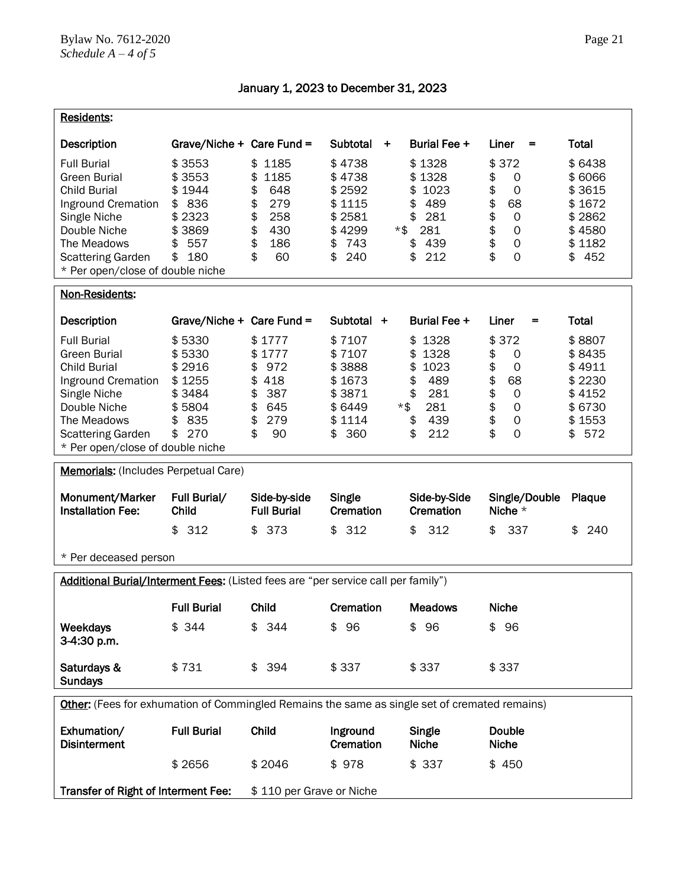| <b>Residents:</b>                                                                                                                                                                                                    |                                                                                                                    |                                                                                                       |                                                                                                             |                                                                                                             |                                                                                                                                                                  |                                                                                          |
|----------------------------------------------------------------------------------------------------------------------------------------------------------------------------------------------------------------------|--------------------------------------------------------------------------------------------------------------------|-------------------------------------------------------------------------------------------------------|-------------------------------------------------------------------------------------------------------------|-------------------------------------------------------------------------------------------------------------|------------------------------------------------------------------------------------------------------------------------------------------------------------------|------------------------------------------------------------------------------------------|
|                                                                                                                                                                                                                      |                                                                                                                    |                                                                                                       |                                                                                                             |                                                                                                             |                                                                                                                                                                  |                                                                                          |
| Description<br><b>Full Burial</b><br><b>Green Burial</b><br><b>Child Burial</b><br>Inground Cremation<br>Single Niche<br>Double Niche<br>The Meadows<br><b>Scattering Garden</b><br>* Per open/close of double niche | Grave/Niche + Care Fund =<br>\$3553<br>\$3553<br>\$1944<br>836<br>\$<br>\$2323<br>\$3869<br>557<br>\$<br>\$<br>180 | 1185<br>\$<br>1185<br>\$<br>\$<br>648<br>\$<br>279<br>\$<br>258<br>\$<br>430<br>\$<br>186<br>\$<br>60 | Subtotal<br>۰,<br>\$4738<br>\$4738<br>\$2592<br>\$1115<br>\$2581<br>\$4299<br>*\$<br>743<br>\$<br>\$<br>240 | Burial Fee +<br>\$1328<br>\$1328<br>1023<br>\$<br>489<br>\$<br>281<br>\$<br>281<br>439<br>\$<br>212<br>\$   | Liner<br>=<br>\$372<br>\$<br>0<br>\$<br>$\mathbf 0$<br>\$<br>68<br>\$<br>$\mathsf{O}\xspace$<br>\$<br>$\mathbf 0$<br>\$<br>$\mathbf 0$<br>\$<br>$\overline{O}$   | Total<br>\$6438<br>\$6066<br>\$3615<br>\$1672<br>\$2862<br>\$4580<br>\$1182<br>452<br>\$ |
| Non-Residents:                                                                                                                                                                                                       |                                                                                                                    |                                                                                                       |                                                                                                             |                                                                                                             |                                                                                                                                                                  |                                                                                          |
| Description                                                                                                                                                                                                          | Grave/Niche + Care Fund =                                                                                          |                                                                                                       | Subtotal +                                                                                                  | Burial Fee +                                                                                                | Liner<br>=                                                                                                                                                       | Total                                                                                    |
| <b>Full Burial</b><br>Green Burial<br><b>Child Burial</b><br>Inground Cremation<br>Single Niche<br>Double Niche<br>The Meadows<br><b>Scattering Garden</b><br>* Per open/close of double niche                       | \$5330<br>\$5330<br>\$2916<br>\$1255<br>\$3484<br>\$5804<br>835<br>\$<br>270<br>\$                                 | \$1777<br>\$1777<br>\$<br>972<br>418<br>\$<br>\$<br>387<br>\$<br>645<br>\$<br>279<br>\$<br>90         | \$7107<br>\$7107<br>\$3888<br>\$1673<br>\$3871<br>\$6449<br>\$1114<br>360<br>\$                             | 1328<br>\$<br>1328<br>\$<br>1023<br>\$<br>\$<br>489<br>\$<br>281<br>281<br>$*$ \$<br>\$<br>439<br>\$<br>212 | \$372<br>\$<br>0<br>\$<br>$\mathbf 0$<br>\$<br>68<br>\$<br>$\mathsf{O}\xspace$<br>\$<br>$\mathsf{O}\xspace$<br>\$<br>$\mathsf{O}\xspace$<br>\$<br>$\overline{O}$ | \$8807<br>\$8435<br>\$4911<br>\$2230<br>\$4152<br>\$6730<br>\$1553<br>\$<br>572          |
| <b>Memorials:</b> (Includes Perpetual Care)                                                                                                                                                                          |                                                                                                                    |                                                                                                       |                                                                                                             |                                                                                                             |                                                                                                                                                                  |                                                                                          |
| Monument/Marker<br><b>Installation Fee:</b>                                                                                                                                                                          | Full Burial/<br>Child<br>312<br>\$                                                                                 | Side-by-side<br><b>Full Burial</b><br>\$<br>373                                                       | Single<br>Cremation<br>312<br>\$                                                                            | Side-by-Side<br><b>Cremation</b><br>312<br>\$                                                               | Single/Double<br>Niche $*$<br>337<br>\$                                                                                                                          | Plaque<br>240<br>\$                                                                      |
| * Per deceased person                                                                                                                                                                                                |                                                                                                                    |                                                                                                       |                                                                                                             |                                                                                                             |                                                                                                                                                                  |                                                                                          |
| Additional Burial/Interment Fees: (Listed fees are "per service call per family")                                                                                                                                    |                                                                                                                    |                                                                                                       |                                                                                                             |                                                                                                             |                                                                                                                                                                  |                                                                                          |
| <b>Weekdays</b><br>3-4:30 p.m.                                                                                                                                                                                       | <b>Full Burial</b><br>\$344                                                                                        | Child<br>\$<br>344                                                                                    | Cremation<br>\$96                                                                                           | <b>Meadows</b><br>\$96                                                                                      | <b>Niche</b><br>\$96                                                                                                                                             |                                                                                          |
| Saturdays &<br><b>Sundays</b>                                                                                                                                                                                        | \$731                                                                                                              | 394<br>\$                                                                                             | \$337                                                                                                       | \$337                                                                                                       | \$337                                                                                                                                                            |                                                                                          |
| Other: (Fees for exhumation of Commingled Remains the same as single set of cremated remains)                                                                                                                        |                                                                                                                    |                                                                                                       |                                                                                                             |                                                                                                             |                                                                                                                                                                  |                                                                                          |
| Exhumation/<br><b>Disinterment</b>                                                                                                                                                                                   | <b>Full Burial</b>                                                                                                 | Child                                                                                                 | Inground<br>Cremation                                                                                       | Single<br><b>Niche</b>                                                                                      | <b>Double</b><br><b>Niche</b>                                                                                                                                    |                                                                                          |
|                                                                                                                                                                                                                      | \$2656                                                                                                             | \$2046                                                                                                | \$978                                                                                                       | \$337                                                                                                       | \$450                                                                                                                                                            |                                                                                          |
| Transfer of Right of Interment Fee:                                                                                                                                                                                  |                                                                                                                    | \$110 per Grave or Niche                                                                              |                                                                                                             |                                                                                                             |                                                                                                                                                                  |                                                                                          |

January 1, 2023 to December 31, 2023